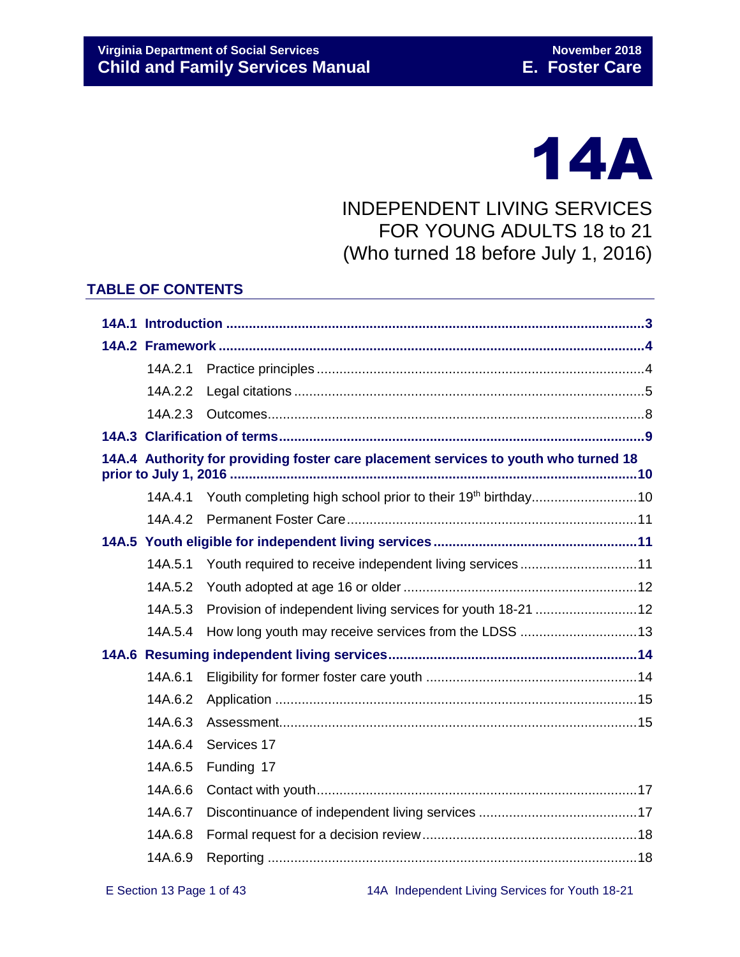# 14A

# INDEPENDENT LIVING SERVICES FOR YOUNG ADULTS 18 to 21 (Who turned 18 before July 1, 2016)

#### **TABLE OF CONTENTS**

| 14A.2.1 |                                                                                     |  |  |  |
|---------|-------------------------------------------------------------------------------------|--|--|--|
| 14A.2.2 |                                                                                     |  |  |  |
| 14A.2.3 |                                                                                     |  |  |  |
|         |                                                                                     |  |  |  |
|         | 14A.4 Authority for providing foster care placement services to youth who turned 18 |  |  |  |
| 14A.4.1 | Youth completing high school prior to their 19 <sup>th</sup> birthday10             |  |  |  |
| 14A.4.2 |                                                                                     |  |  |  |
|         |                                                                                     |  |  |  |
| 14A.5.1 | Youth required to receive independent living services11                             |  |  |  |
| 14A.5.2 |                                                                                     |  |  |  |
| 14A.5.3 | Provision of independent living services for youth 18-21  12                        |  |  |  |
| 14A.5.4 | How long youth may receive services from the LDSS 13                                |  |  |  |
|         |                                                                                     |  |  |  |
| 14A.6.1 |                                                                                     |  |  |  |
| 14A.6.2 |                                                                                     |  |  |  |
| 14A.6.3 |                                                                                     |  |  |  |
| 14A.6.4 | Services 17                                                                         |  |  |  |
| 14A.6.5 | Funding 17                                                                          |  |  |  |
| 14A.6.6 |                                                                                     |  |  |  |
| 14A.6.7 |                                                                                     |  |  |  |
| 14A.6.8 |                                                                                     |  |  |  |
| 14A.6.9 |                                                                                     |  |  |  |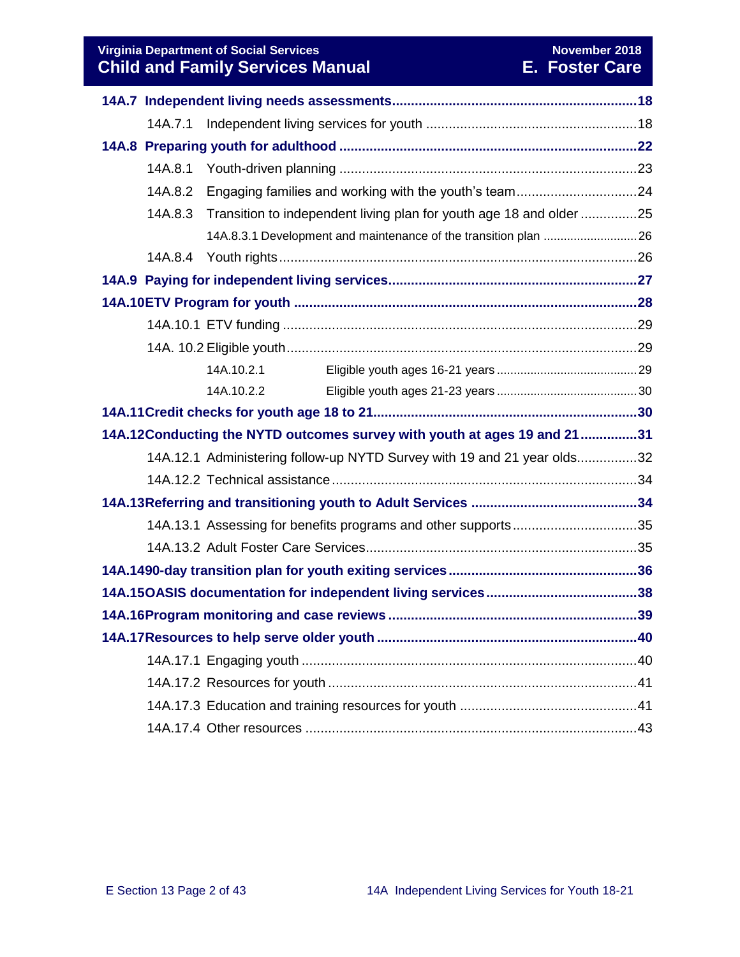**Virginia Department of Social Services** November 2018 November 2018 **Child and Family Services Manual E. Foster Care**

|                                                                           | 14A.7.1 |                                                                         |  |  |  |  |  |
|---------------------------------------------------------------------------|---------|-------------------------------------------------------------------------|--|--|--|--|--|
|                                                                           |         |                                                                         |  |  |  |  |  |
|                                                                           | 14A.8.1 |                                                                         |  |  |  |  |  |
|                                                                           | 14A.8.2 | Engaging families and working with the youth's team24                   |  |  |  |  |  |
|                                                                           | 14A.8.3 | Transition to independent living plan for youth age 18 and older 25     |  |  |  |  |  |
|                                                                           |         | 14A.8.3.1 Development and maintenance of the transition plan  26        |  |  |  |  |  |
|                                                                           | 14A.8.4 |                                                                         |  |  |  |  |  |
|                                                                           |         |                                                                         |  |  |  |  |  |
|                                                                           |         |                                                                         |  |  |  |  |  |
|                                                                           |         |                                                                         |  |  |  |  |  |
|                                                                           |         |                                                                         |  |  |  |  |  |
|                                                                           |         | 14A.10.2.1                                                              |  |  |  |  |  |
|                                                                           |         | 14A.10.2.2                                                              |  |  |  |  |  |
|                                                                           |         |                                                                         |  |  |  |  |  |
| 14A.12Conducting the NYTD outcomes survey with youth at ages 19 and 21 31 |         |                                                                         |  |  |  |  |  |
|                                                                           |         | 14A.12.1 Administering follow-up NYTD Survey with 19 and 21 year olds32 |  |  |  |  |  |
|                                                                           |         |                                                                         |  |  |  |  |  |
|                                                                           |         |                                                                         |  |  |  |  |  |
|                                                                           |         | 14A.13.1 Assessing for benefits programs and other supports35           |  |  |  |  |  |
|                                                                           |         |                                                                         |  |  |  |  |  |
|                                                                           |         |                                                                         |  |  |  |  |  |
|                                                                           |         |                                                                         |  |  |  |  |  |
|                                                                           |         |                                                                         |  |  |  |  |  |
|                                                                           |         |                                                                         |  |  |  |  |  |
|                                                                           |         |                                                                         |  |  |  |  |  |
|                                                                           |         |                                                                         |  |  |  |  |  |
|                                                                           |         |                                                                         |  |  |  |  |  |
|                                                                           |         |                                                                         |  |  |  |  |  |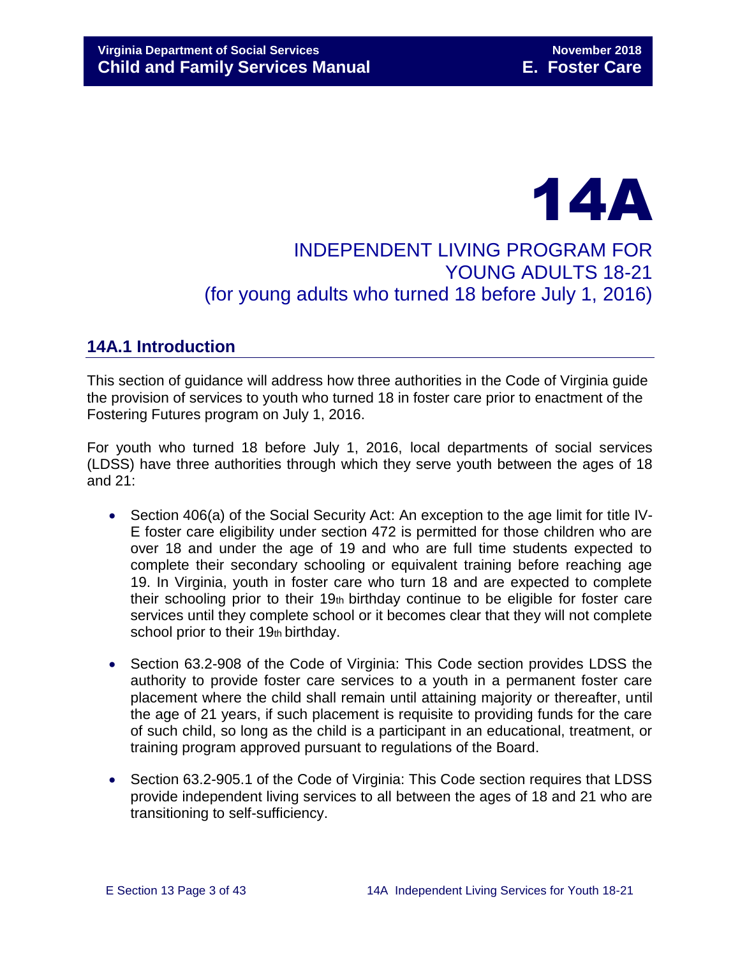# 14A INDEPENDENT LIVING PROGRAM FOR YOUNG ADULTS 18-21 (for young adults who turned 18 before July 1, 2016)

# <span id="page-2-0"></span>**14A.1 Introduction**

This section of guidance will address how three authorities in the Code of Virginia guide the provision of services to youth who turned 18 in foster care prior to enactment of the Fostering Futures program on July 1, 2016.

For youth who turned 18 before July 1, 2016, local departments of social services (LDSS) have three authorities through which they serve youth between the ages of 18 and 21:

- Section 406(a) of the Social Security Act: An exception to the age limit for title IV-E foster care eligibility under section 472 is permitted for those children who are over 18 and under the age of 19 and who are full time students expected to complete their secondary schooling or equivalent training before reaching age 19. In Virginia, youth in foster care who turn 18 and are expected to complete their schooling prior to their 19th birthday continue to be eligible for foster care services until they complete school or it becomes clear that they will not complete school prior to their  $19<sub>th</sub>$  birthday.
- Section 63.2-908 of the Code of Virginia: This Code section provides LDSS the authority to provide foster care services to a youth in a permanent foster care placement where the child shall remain until attaining majority or thereafter, until the age of 21 years, if such placement is requisite to providing funds for the care of such child, so long as the child is a participant in an educational, treatment, or training program approved pursuant to regulations of the Board.
- Section 63.2-905.1 of the Code of Virginia: This Code section requires that LDSS provide independent living services to all between the ages of 18 and 21 who are transitioning to self-sufficiency.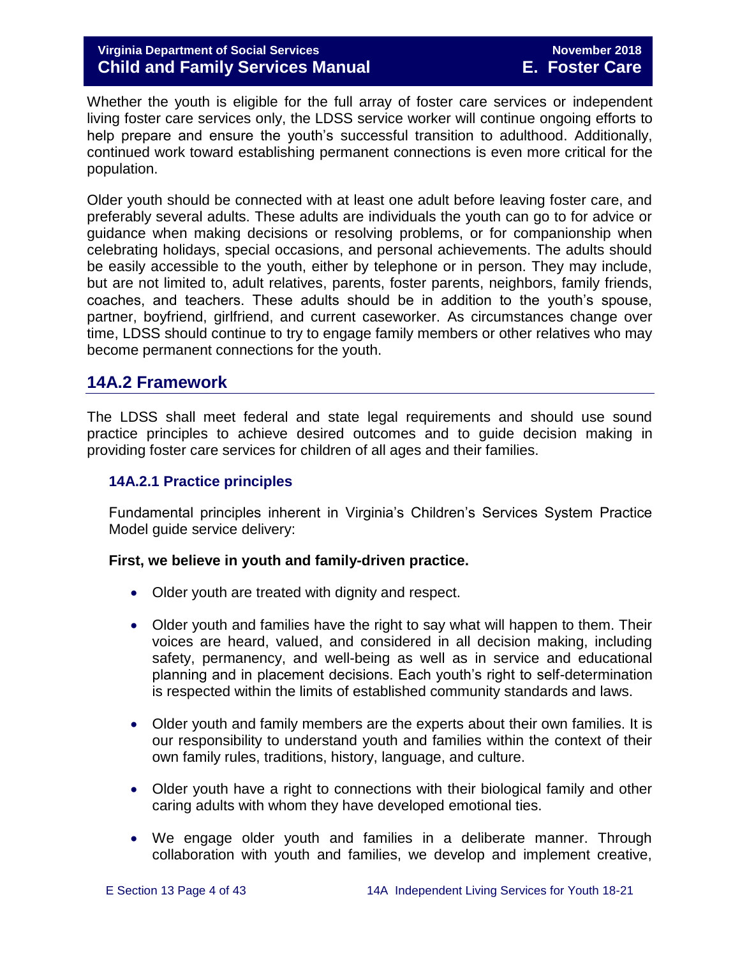#### **Virginia Department of Social Services November 2018 Child and Family Services Manual E. Foster Care**

Whether the youth is eligible for the full array of foster care services or independent living foster care services only, the LDSS service worker will continue ongoing efforts to help prepare and ensure the youth's successful transition to adulthood. Additionally, continued work toward establishing permanent connections is even more critical for the population.

Older youth should be connected with at least one adult before leaving foster care, and preferably several adults. These adults are individuals the youth can go to for advice or guidance when making decisions or resolving problems, or for companionship when celebrating holidays, special occasions, and personal achievements. The adults should be easily accessible to the youth, either by telephone or in person. They may include, but are not limited to, adult relatives, parents, foster parents, neighbors, family friends, coaches, and teachers. These adults should be in addition to the youth's spouse, partner, boyfriend, girlfriend, and current caseworker. As circumstances change over time, LDSS should continue to try to engage family members or other relatives who may become permanent connections for the youth.

### <span id="page-3-0"></span>**14A.2 Framework**

The LDSS shall meet federal and state legal requirements and should use sound practice principles to achieve desired outcomes and to guide decision making in providing foster care services for children of all ages and their families.

#### <span id="page-3-1"></span>**14A.2.1 Practice principles**

Fundamental principles inherent in Virginia's Children's Services System Practice Model guide service delivery:

#### **First, we believe in youth and family-driven practice.**

- Older youth are treated with dignity and respect.
- Older youth and families have the right to say what will happen to them. Their voices are heard, valued, and considered in all decision making, including safety, permanency, and well-being as well as in service and educational planning and in placement decisions. Each youth's right to self-determination is respected within the limits of established community standards and laws.
- Older youth and family members are the experts about their own families. It is our responsibility to understand youth and families within the context of their own family rules, traditions, history, language, and culture.
- Older youth have a right to connections with their biological family and other caring adults with whom they have developed emotional ties.
- We engage older youth and families in a deliberate manner. Through collaboration with youth and families, we develop and implement creative,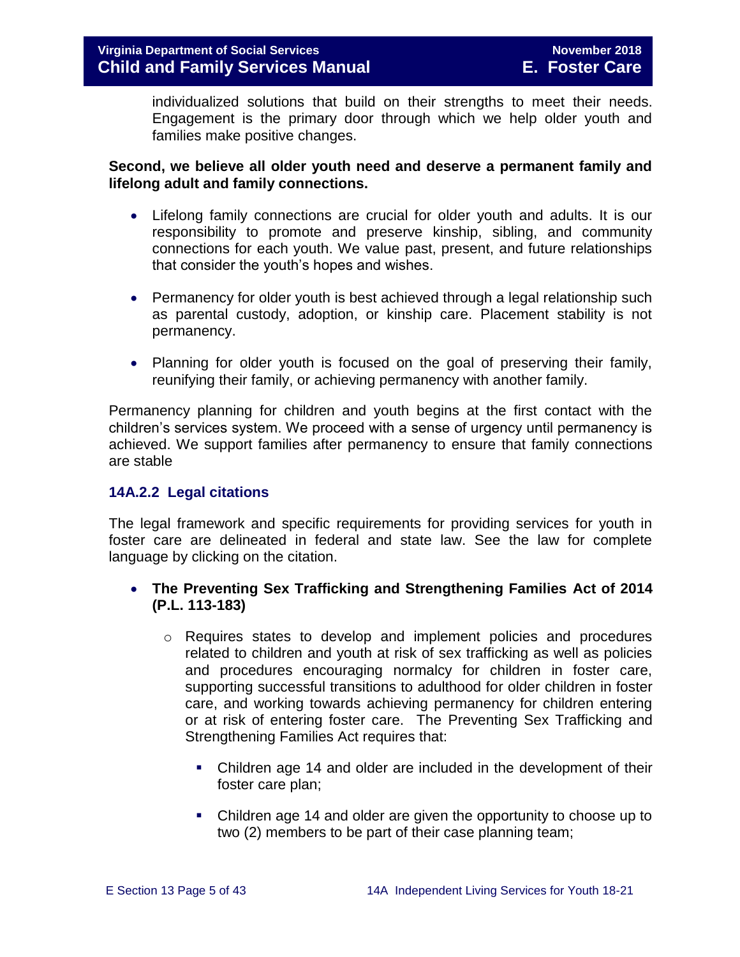individualized solutions that build on their strengths to meet their needs. Engagement is the primary door through which we help older youth and families make positive changes.

#### **Second, we believe all older youth need and deserve a permanent family and lifelong adult and family connections.**

- Lifelong family connections are crucial for older youth and adults. It is our responsibility to promote and preserve kinship, sibling, and community connections for each youth. We value past, present, and future relationships that consider the youth's hopes and wishes.
- Permanency for older youth is best achieved through a legal relationship such as parental custody, adoption, or kinship care. Placement stability is not permanency.
- Planning for older youth is focused on the goal of preserving their family, reunifying their family, or achieving permanency with another family.

Permanency planning for children and youth begins at the first contact with the children's services system. We proceed with a sense of urgency until permanency is achieved. We support families after permanency to ensure that family connections are stable

#### <span id="page-4-0"></span>**14A.2.2 Legal citations**

The legal framework and specific requirements for providing services for youth in foster care are delineated in federal and state law. See the law for complete language by clicking on the citation.

#### **The Preventing Sex Trafficking and Strengthening Families Act of 2014 (P.L. 113-183)**

- o Requires states to develop and implement policies and procedures related to children and youth at risk of sex trafficking as well as policies and procedures encouraging normalcy for children in foster care, supporting successful transitions to adulthood for older children in foster care, and working towards achieving permanency for children entering or at risk of entering foster care. The Preventing Sex Trafficking and Strengthening Families Act requires that:
	- Children age 14 and older are included in the development of their foster care plan;
	- Children age 14 and older are given the opportunity to choose up to two (2) members to be part of their case planning team;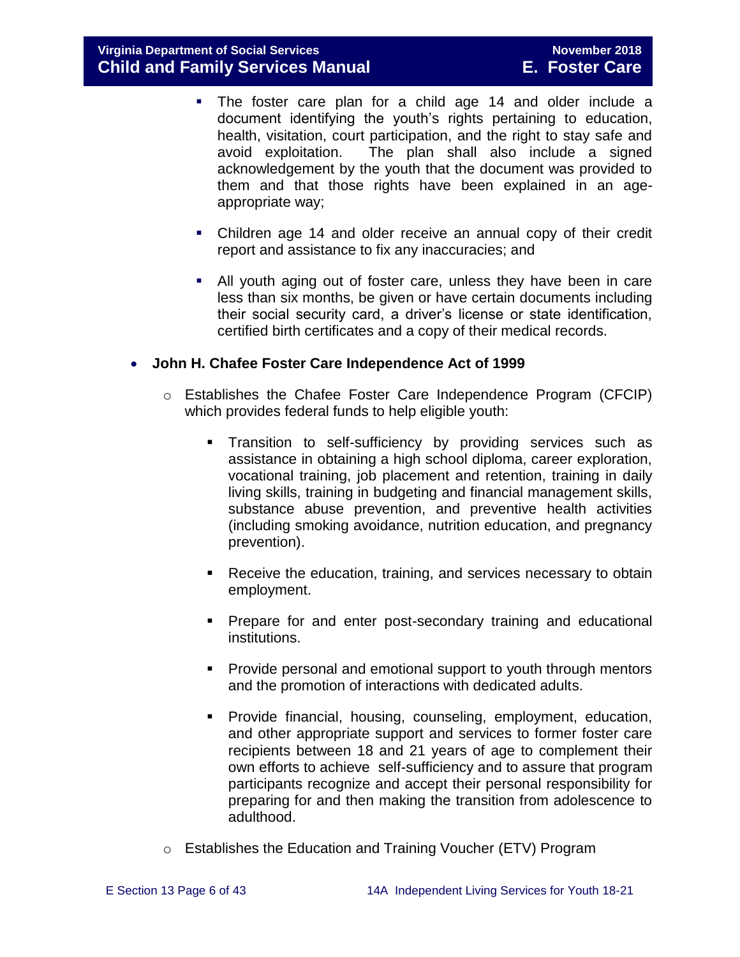- The foster care plan for a child age 14 and older include a document identifying the youth's rights pertaining to education, health, visitation, court participation, and the right to stay safe and avoid exploitation. The plan shall also include a signed acknowledgement by the youth that the document was provided to them and that those rights have been explained in an ageappropriate way;
- Children age 14 and older receive an annual copy of their credit report and assistance to fix any inaccuracies; and
- All youth aging out of foster care, unless they have been in care less than six months, be given or have certain documents including their social security card, a driver's license or state identification, certified birth certificates and a copy of their medical records.

#### **John H. Chafee Foster Care Independence Act of 1999**

- o Establishes the Chafee Foster Care Independence Program (CFCIP) which provides federal funds to help eligible youth:
	- Transition to self-sufficiency by providing services such as assistance in obtaining a high school diploma, career exploration, vocational training, job placement and retention, training in daily living skills, training in budgeting and financial management skills, substance abuse prevention, and preventive health activities (including smoking avoidance, nutrition education, and pregnancy prevention).
	- **Receive the education, training, and services necessary to obtain** employment.
	- **Prepare for and enter post-secondary training and educational** institutions.
	- **Provide personal and emotional support to youth through mentors** and the promotion of interactions with dedicated adults.
	- **Provide financial, housing, counseling, employment, education,** and other appropriate support and services to former foster care recipients between 18 and 21 years of age to complement their own efforts to achieve self-sufficiency and to assure that program participants recognize and accept their personal responsibility for preparing for and then making the transition from adolescence to adulthood.
- o Establishes the Education and Training Voucher (ETV) Program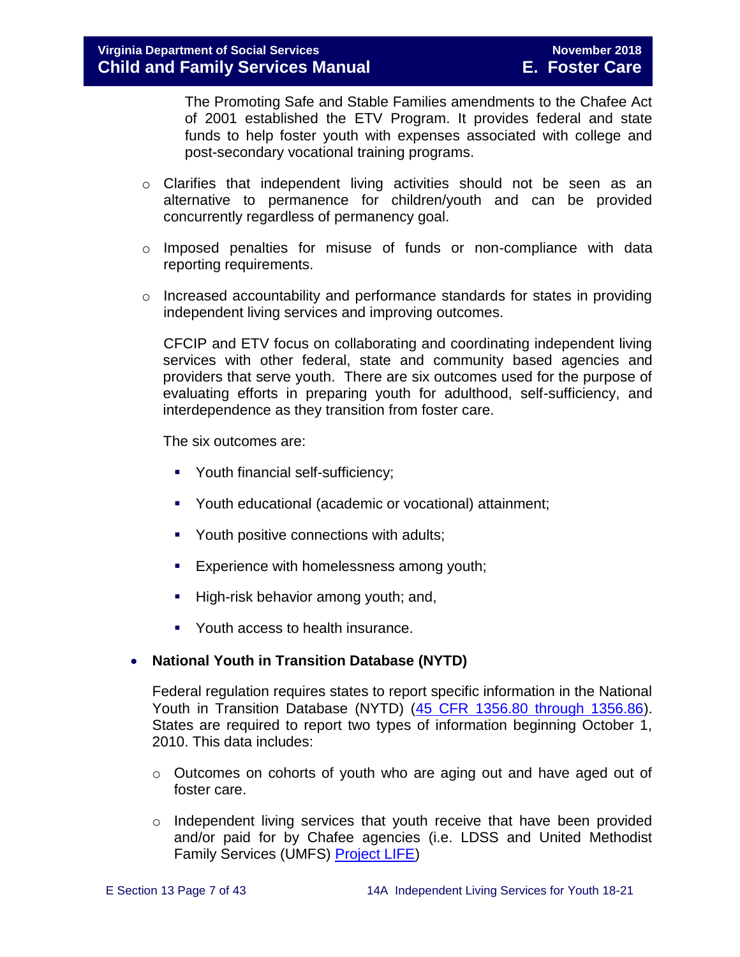The Promoting Safe and Stable Families amendments to the Chafee Act of 2001 established the ETV Program. It provides federal and state funds to help foster youth with expenses associated with college and post-secondary vocational training programs.

- o Clarifies that independent living activities should not be seen as an alternative to permanence for children/youth and can be provided concurrently regardless of permanency goal.
- o Imposed penalties for misuse of funds or non-compliance with data reporting requirements.
- $\circ$  Increased accountability and performance standards for states in providing independent living services and improving outcomes.

CFCIP and ETV focus on collaborating and coordinating independent living services with other federal, state and community based agencies and providers that serve youth. There are six outcomes used for the purpose of evaluating efforts in preparing youth for adulthood, self-sufficiency, and interdependence as they transition from foster care.

The six outcomes are:

- **•** Youth financial self-sufficiency;
- Youth educational (academic or vocational) attainment;
- Youth positive connections with adults;
- **Experience with homelessness among youth;**
- **High-risk behavior among youth; and,**
- Youth access to health insurance.

#### **National Youth in Transition Database (NYTD)**

Federal regulation requires states to report specific information in the National Youth in Transition Database (NYTD) [\(45 CFR 1356.80 through 1356.86\)](http://www.ecfr.gov/cgi-bin/retrieveECFR?gp=1&SID=3d9be8b33d08994a45cff8aaff9f9476&ty=HTML&h=L&mc=true&r=PART&n=pt45.4.1356). States are required to report two types of information beginning October 1, 2010. This data includes:

- $\circ$  Outcomes on cohorts of youth who are aging out and have aged out of foster care.
- o Independent living services that youth receive that have been provided and/or paid for by Chafee agencies (i.e. LDSS and United Methodist Family Services (UMFS) [Project LIFE\)](http://www.vaprojectlife.org/)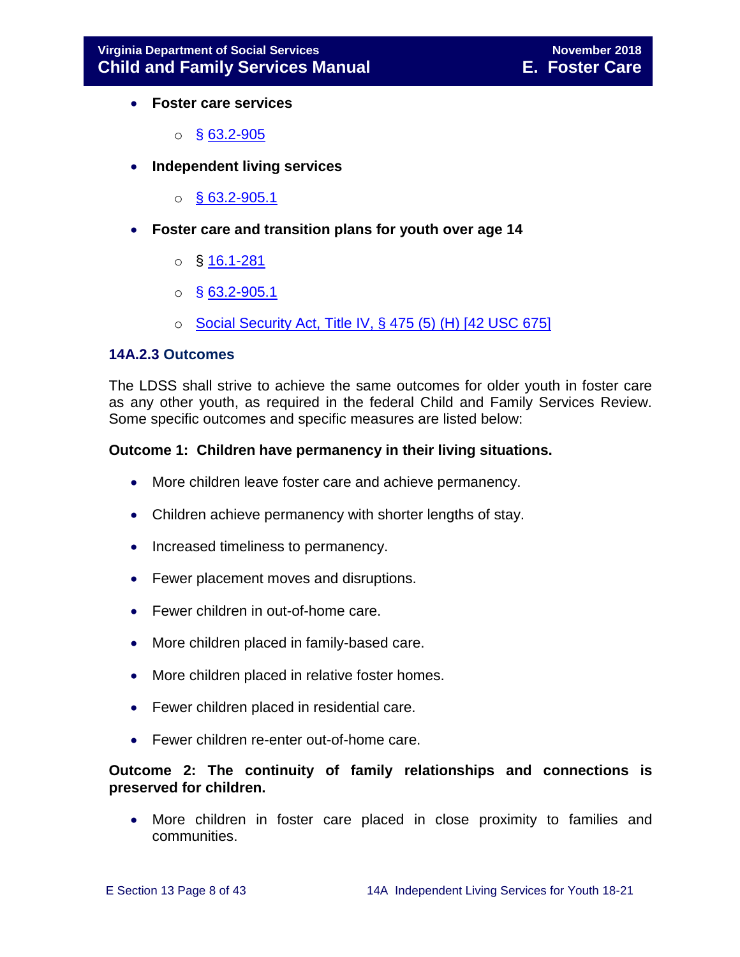- **Foster care services** 
	- $\circ$  § [63.2-905](http://law.lis.virginia.gov/vacode/title63.2/chapter9/section63.2-905/)
- **Independent living services** 
	- $\circ$  [§ 63.2-905.1](http://law.lis.virginia.gov/vacode/title63.2/chapter9/section63.2-905.1/)
- **Foster care and transition plans for youth over age 14** 
	- $\circ$  § [16.1-281](http://law.lis.virginia.gov/vacode/title16.1/chapter11/section16.1-281/)
	- $\circ$  § [63.2-905.1](http://law.lis.virginia.gov/vacode/title63.2/chapter9/section63.2-905.1/)
	- $\circ$  [Social Security Act, Title IV, § 475 \(5\) \(H\) \[42 USC 675\]](http://www.ssa.gov/OP_Home/ssact/title04/0475.htm)

#### <span id="page-7-0"></span>**14A.2.3 Outcomes**

The LDSS shall strive to achieve the same outcomes for older youth in foster care as any other youth, as required in the federal Child and Family Services Review. Some specific outcomes and specific measures are listed below:

#### **Outcome 1: Children have permanency in their living situations.**

- More children leave foster care and achieve permanency.
- Children achieve permanency with shorter lengths of stay.
- Increased timeliness to permanency.
- Fewer placement moves and disruptions.
- Fewer children in out-of-home care.
- More children placed in family-based care.
- More children placed in relative foster homes.
- Fewer children placed in residential care.
- Fewer children re-enter out-of-home care.

#### **Outcome 2: The continuity of family relationships and connections is preserved for children.**

 More children in foster care placed in close proximity to families and communities.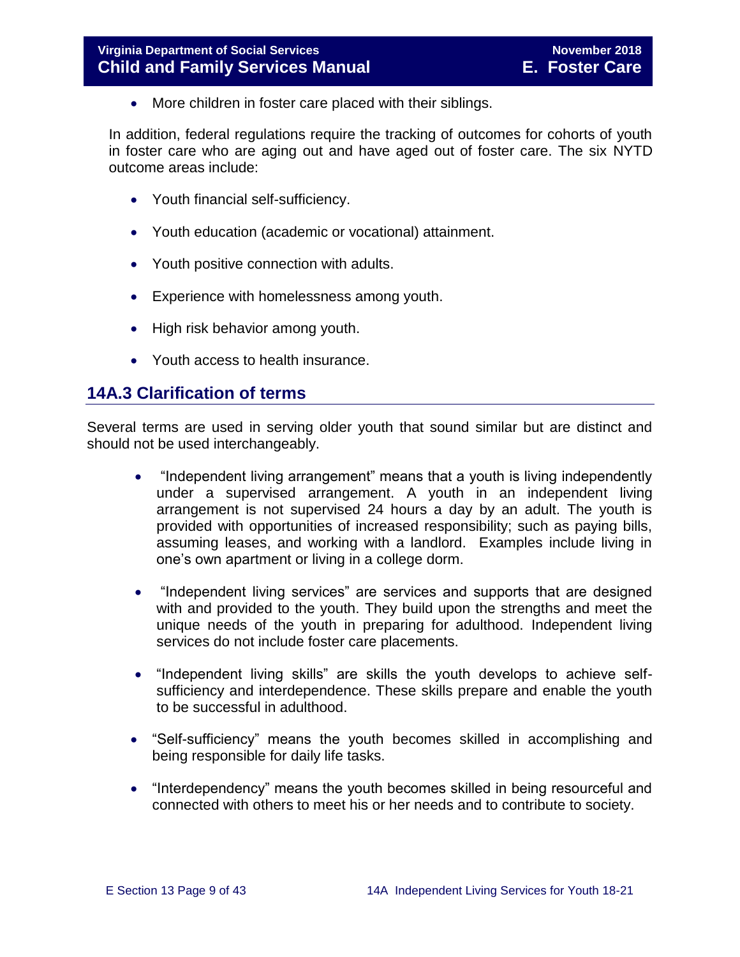• More children in foster care placed with their siblings.

In addition, federal regulations require the tracking of outcomes for cohorts of youth in foster care who are aging out and have aged out of foster care. The six NYTD outcome areas include:

- Youth financial self-sufficiency.
- Youth education (academic or vocational) attainment.
- Youth positive connection with adults.
- Experience with homelessness among youth.
- High risk behavior among youth.
- Youth access to health insurance.

#### <span id="page-8-0"></span>**14A.3 Clarification of terms**

Several terms are used in serving older youth that sound similar but are distinct and should not be used interchangeably.

- "Independent living arrangement" means that a youth is living independently under a supervised arrangement. A youth in an independent living arrangement is not supervised 24 hours a day by an adult. The youth is provided with opportunities of increased responsibility; such as paying bills, assuming leases, and working with a landlord. Examples include living in one's own apartment or living in a college dorm.
- "Independent living services" are services and supports that are designed with and provided to the youth. They build upon the strengths and meet the unique needs of the youth in preparing for adulthood. Independent living services do not include foster care placements.
- "Independent living skills" are skills the youth develops to achieve selfsufficiency and interdependence. These skills prepare and enable the youth to be successful in adulthood.
- "Self-sufficiency" means the youth becomes skilled in accomplishing and being responsible for daily life tasks.
- "Interdependency" means the youth becomes skilled in being resourceful and connected with others to meet his or her needs and to contribute to society.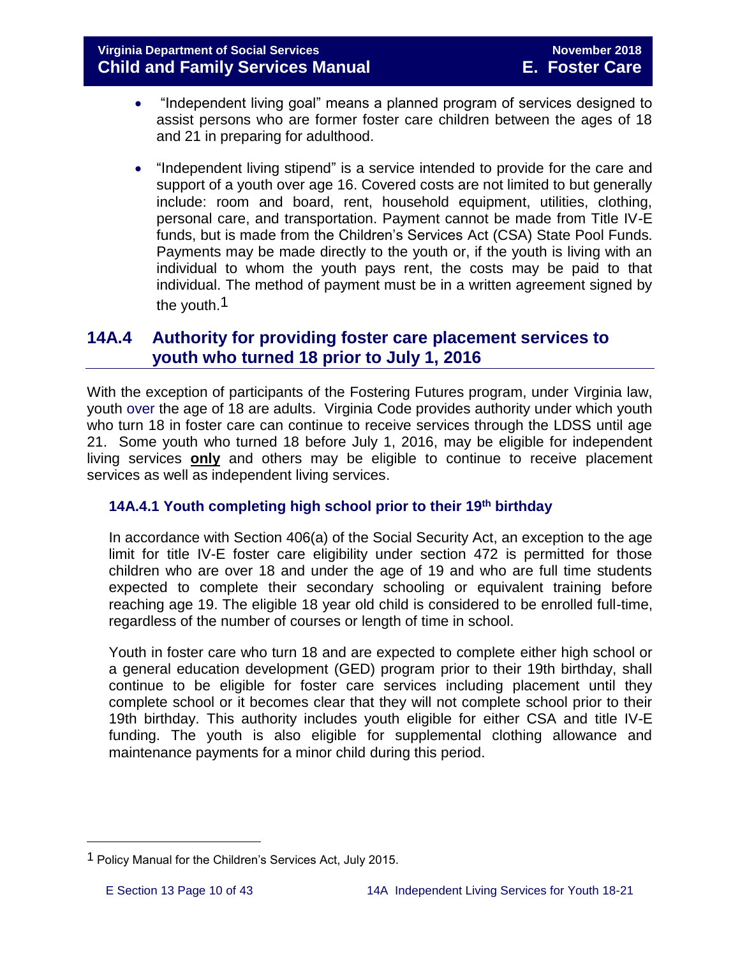- "Independent living goal" means a planned program of services designed to assist persons who are former foster care children between the ages of 18 and 21 in preparing for adulthood.
- "Independent living stipend" is a service intended to provide for the care and support of a youth over age 16. Covered costs are not limited to but generally include: room and board, rent, household equipment, utilities, clothing, personal care, and transportation. Payment cannot be made from Title IV-E funds, but is made from the Children's Services Act (CSA) State Pool Funds. Payments may be made directly to the youth or, if the youth is living with an individual to whom the youth pays rent, the costs may be paid to that individual. The method of payment must be in a written agreement signed by the youth.1

# <span id="page-9-0"></span>**14A.4 Authority for providing foster care placement services to youth who turned 18 prior to July 1, 2016**

With the exception of participants of the Fostering Futures program, under Virginia law, youth over the age of 18 are adults. Virginia Code provides authority under which youth who turn 18 in foster care can continue to receive services through the LDSS until age 21. Some youth who turned 18 before July 1, 2016, may be eligible for independent living services **only** and others may be eligible to continue to receive placement services as well as independent living services.

#### <span id="page-9-1"></span>**14A.4.1 Youth completing high school prior to their 19th birthday**

In accordance with Section 406(a) of the Social Security Act, an exception to the age limit for title IV-E foster care eligibility under section 472 is permitted for those children who are over 18 and under the age of 19 and who are full time students expected to complete their secondary schooling or equivalent training before reaching age 19. The eligible 18 year old child is considered to be enrolled full-time, regardless of the number of courses or length of time in school.

Youth in foster care who turn 18 and are expected to complete either high school or a general education development (GED) program prior to their 19th birthday, shall continue to be eligible for foster care services including placement until they complete school or it becomes clear that they will not complete school prior to their 19th birthday. This authority includes youth eligible for either CSA and title IV-E funding. The youth is also eligible for supplemental clothing allowance and maintenance payments for a minor child during this period.

i<br>L

<sup>1</sup> Policy Manual for the Children's Services Act, July 2015.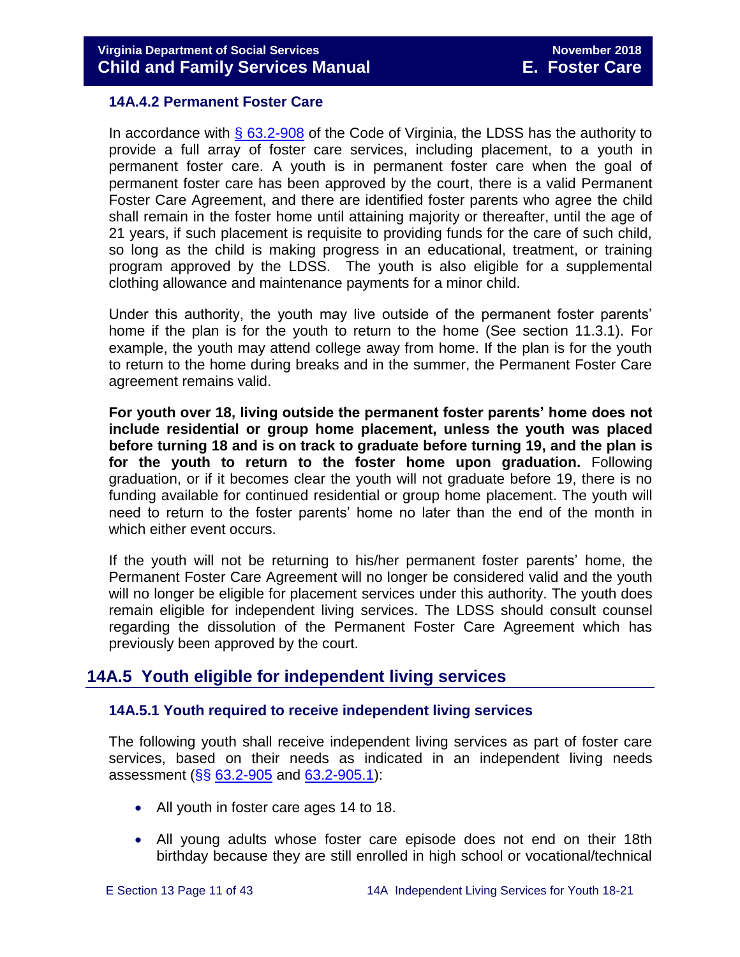#### <span id="page-10-0"></span>**14A.4.2 Permanent Foster Care**

In accordance with  $\S$  63.2-908 of the Code of Virginia, the LDSS has the authority to provide a full array of foster care services, including placement, to a youth in permanent foster care. A youth is in permanent foster care when the goal of permanent foster care has been approved by the court, there is a valid Permanent Foster Care Agreement, and there are identified foster parents who agree the child shall remain in the foster home until attaining majority or thereafter, until the age of 21 years, if such placement is requisite to providing funds for the care of such child, so long as the child is making progress in an educational, treatment, or training program approved by the LDSS. The youth is also eligible for a supplemental clothing allowance and maintenance payments for a minor child.

Under this authority, the youth may live outside of the permanent foster parents' home if the plan is for the youth to return to the home (See section 11.3.1). For example, the youth may attend college away from home. If the plan is for the youth to return to the home during breaks and in the summer, the Permanent Foster Care agreement remains valid.

**For youth over 18, living outside the permanent foster parents' home does not include residential or group home placement, unless the youth was placed before turning 18 and is on track to graduate before turning 19, and the plan is for the youth to return to the foster home upon graduation.** Following graduation, or if it becomes clear the youth will not graduate before 19, there is no funding available for continued residential or group home placement. The youth will need to return to the foster parents' home no later than the end of the month in which either event occurs.

If the youth will not be returning to his/her permanent foster parents' home, the Permanent Foster Care Agreement will no longer be considered valid and the youth will no longer be eligible for placement services under this authority. The youth does remain eligible for independent living services. The LDSS should consult counsel regarding the dissolution of the Permanent Foster Care Agreement which has previously been approved by the court.

# <span id="page-10-1"></span>**14A.5 Youth eligible for independent living services**

#### <span id="page-10-2"></span>**14A.5.1 Youth required to receive independent living services**

The following youth shall receive independent living services as part of foster care services, based on their needs as indicated in an independent living needs assessment (§§ [63.2-905](http://law.lis.virginia.gov/vacode/title63.2/chapter9/section63.2-905/) and [63.2-905.1\)](http://law.lis.virginia.gov/vacode/title63.2/chapter9/section63.2-905.1/):

- All youth in foster care ages 14 to 18.
- All young adults whose foster care episode does not end on their 18th birthday because they are still enrolled in high school or vocational/technical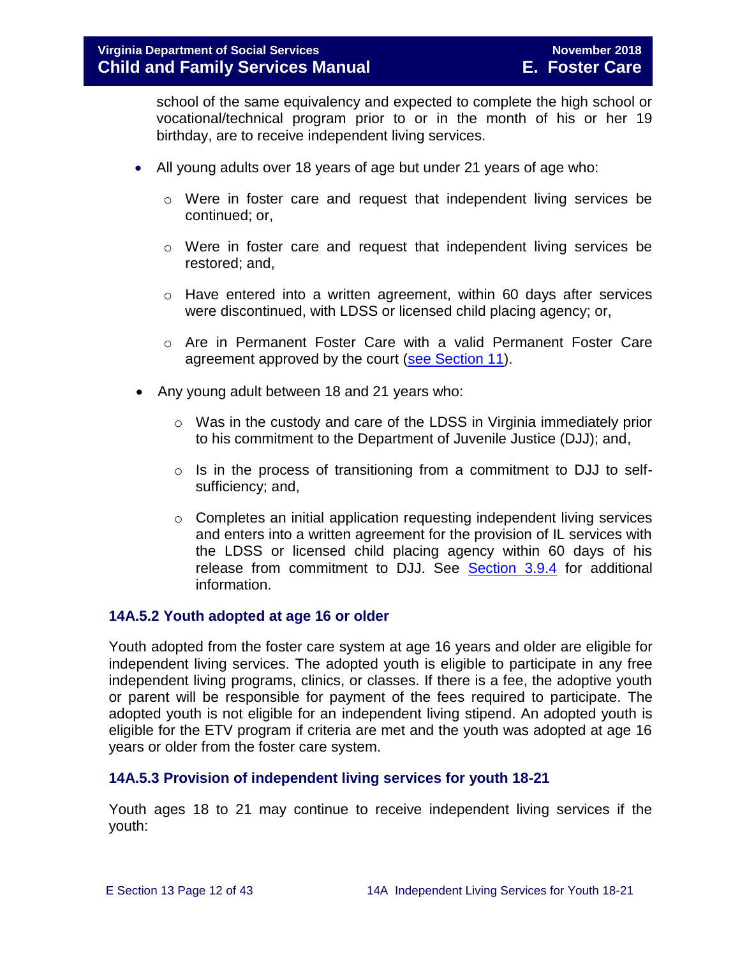school of the same equivalency and expected to complete the high school or vocational/technical program prior to or in the month of his or her 19 birthday, are to receive independent living services.

- All young adults over 18 years of age but under 21 years of age who:
	- o Were in foster care and request that independent living services be continued; or,
	- o Were in foster care and request that independent living services be restored; and,
	- $\circ$  Have entered into a written agreement, within 60 days after services were discontinued, with LDSS or licensed child placing agency; or,
	- o Are in Permanent Foster Care with a valid Permanent Foster Care agreement approved by the court [\(see Section 11\)](http://spark.dss.virginia.gov/divisions/dfs/fc/files/manual/fc_manual/07_2015/Section_11_Alternative_Foster_Care_Goals.pdf).
- Any young adult between 18 and 21 years who:
	- $\circ$  Was in the custody and care of the LDSS in Virginia immediately prior to his commitment to the Department of Juvenile Justice (DJJ); and,
	- o Is in the process of transitioning from a commitment to DJJ to selfsufficiency; and,
	- o Completes an initial application requesting independent living services and enters into a written agreement for the provision of IL services with the LDSS or licensed child placing agency within 60 days of his release from commitment to DJJ. See [Section 3.9.4](http://www.dss.virginia.gov/files/division/dfs/fc/intro_page/guidance_manuals/fc/07_2015/Section_03_Entering_Foster_Care.pdf) for additional information.

#### <span id="page-11-0"></span>**14A.5.2 Youth adopted at age 16 or older**

Youth adopted from the foster care system at age 16 years and older are eligible for independent living services. The adopted youth is eligible to participate in any free independent living programs, clinics, or classes. If there is a fee, the adoptive youth or parent will be responsible for payment of the fees required to participate. The adopted youth is not eligible for an independent living stipend. An adopted youth is eligible for the ETV program if criteria are met and the youth was adopted at age 16 years or older from the foster care system.

#### <span id="page-11-1"></span>**14A.5.3 Provision of independent living services for youth 18-21**

Youth ages 18 to 21 may continue to receive independent living services if the youth: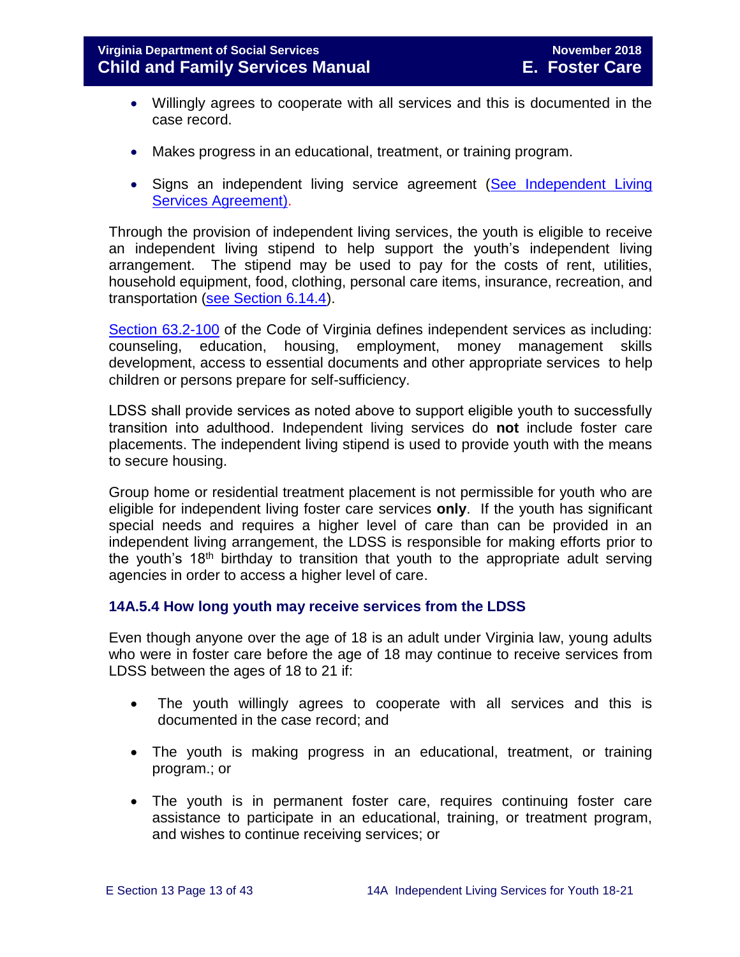- Willingly agrees to cooperate with all services and this is documented in the case record.
- Makes progress in an educational, treatment, or training program.
- Signs an independent living service agreement (See Independent Living [Services Agreement\)](http://spark.dss.virginia.gov/divisions/dfs/fc/files/ilp/services/forms/032-19-0010-00-eng.doc).

Through the provision of independent living services, the youth is eligible to receive an independent living stipend to help support the youth's independent living arrangement. The stipend may be used to pay for the costs of rent, utilities, household equipment, food, clothing, personal care items, insurance, recreation, and transportation [\(see Section 6.14.4\)](http://www.dss.virginia.gov/files/division/dfs/fc/intro_page/guidance_manuals/fc/07_2015/Section_06_Placement_to_Achieve_Permanency.pdf).

[Section 63.2-100](http://law.lis.virginia.gov/vacode/title63.2/chapter1/section63.2-100/) of the Code of Virginia defines independent services as including: counseling, education, housing, employment, money management skills development, access to essential documents and other appropriate services to help children or persons prepare for self-sufficiency.

LDSS shall provide services as noted above to support eligible youth to successfully transition into adulthood. Independent living services do **not** include foster care placements. The independent living stipend is used to provide youth with the means to secure housing.

Group home or residential treatment placement is not permissible for youth who are eligible for independent living foster care services **only**. If the youth has significant special needs and requires a higher level of care than can be provided in an independent living arrangement, the LDSS is responsible for making efforts prior to the youth's 18<sup>th</sup> birthday to transition that youth to the appropriate adult serving agencies in order to access a higher level of care.

#### <span id="page-12-0"></span>**14A.5.4 How long youth may receive services from the LDSS**

Even though anyone over the age of 18 is an adult under Virginia law, young adults who were in foster care before the age of 18 may continue to receive services from LDSS between the ages of 18 to 21 if:

- The youth willingly agrees to cooperate with all services and this is documented in the case record; and
- The youth is making progress in an educational, treatment, or training program.; or
- The youth is in permanent foster care, requires continuing foster care assistance to participate in an educational, training, or treatment program, and wishes to continue receiving services; or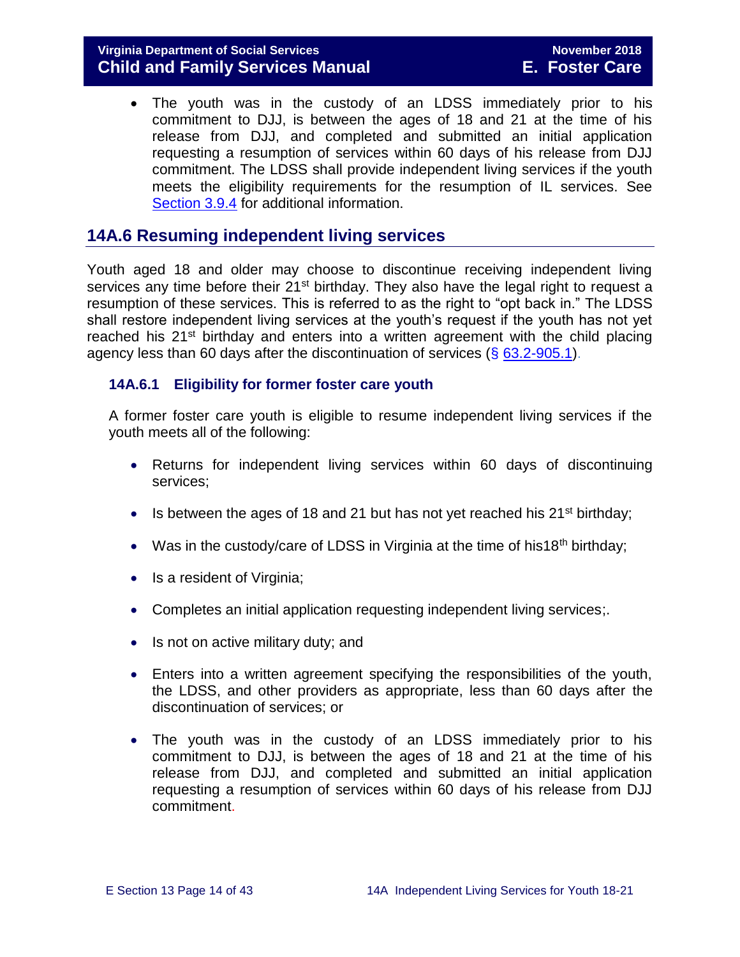#### **Virginia Department of Social Services November 2018 Child and Family Services Manual E. Foster Care**

 The youth was in the custody of an LDSS immediately prior to his commitment to DJJ, is between the ages of 18 and 21 at the time of his release from DJJ, and completed and submitted an initial application requesting a resumption of services within 60 days of his release from DJJ commitment. The LDSS shall provide independent living services if the youth meets the eligibility requirements for the resumption of IL services. See [Section 3.9.4](http://www.dss.virginia.gov/files/division/dfs/fc/intro_page/guidance_manuals/fc/07_2015/Section_03_Entering_Foster_Care.pdf) for additional information.

#### <span id="page-13-0"></span>**14A.6 Resuming independent living services**

Youth aged 18 and older may choose to discontinue receiving independent living services any time before their 21<sup>st</sup> birthday. They also have the legal right to request a resumption of these services. This is referred to as the right to "opt back in." The LDSS shall restore independent living services at the youth's request if the youth has not yet reached his  $21^{st}$  birthday and enters into a written agreement with the child placing agency less than 60 days after the discontinuation of services (§ [63.2-905.1\)](http://law.lis.virginia.gov/vacode/title63.2/chapter9/section63.2-905.1/).

#### <span id="page-13-1"></span>**14A.6.1 Eligibility for former foster care youth**

A former foster care youth is eligible to resume independent living services if the youth meets all of the following:

- Returns for independent living services within 60 days of discontinuing services;
- Is between the ages of 18 and 21 but has not yet reached his  $21<sup>st</sup>$  birthday;
- Was in the custody/care of LDSS in Virginia at the time of his18<sup>th</sup> birthday;
- Is a resident of Virginia;
- Completes an initial application requesting independent living services;.
- $\bullet$  Is not on active military duty; and
- Enters into a written agreement specifying the responsibilities of the youth, the LDSS, and other providers as appropriate, less than 60 days after the discontinuation of services; or
- The youth was in the custody of an LDSS immediately prior to his commitment to DJJ, is between the ages of 18 and 21 at the time of his release from DJJ, and completed and submitted an initial application requesting a resumption of services within 60 days of his release from DJJ commitment.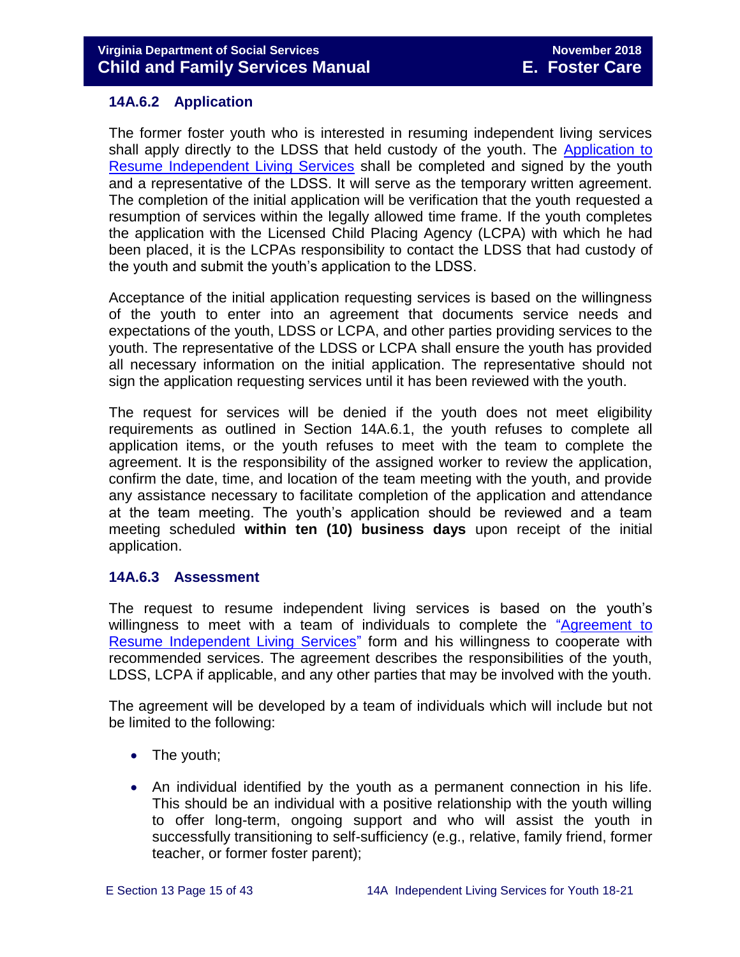#### <span id="page-14-0"></span>**14A.6.2 Application**

The former foster youth who is interested in resuming independent living services shall apply directly to the LDSS that held custody of the youth. The [Application to](http://www.dss.virginia.gov/files/division/dfs/fc/intro_page/forms/032-02-1440-00-eng.doc)  [Resume Independent Living Services](http://www.dss.virginia.gov/files/division/dfs/fc/intro_page/forms/032-02-1440-00-eng.doc) shall be completed and signed by the youth and a representative of the LDSS. It will serve as the temporary written agreement. The completion of the initial application will be verification that the youth requested a resumption of services within the legally allowed time frame. If the youth completes the application with the Licensed Child Placing Agency (LCPA) with which he had been placed, it is the LCPAs responsibility to contact the LDSS that had custody of the youth and submit the youth's application to the LDSS.

Acceptance of the initial application requesting services is based on the willingness of the youth to enter into an agreement that documents service needs and expectations of the youth, LDSS or LCPA, and other parties providing services to the youth. The representative of the LDSS or LCPA shall ensure the youth has provided all necessary information on the initial application. The representative should not sign the application requesting services until it has been reviewed with the youth.

The request for services will be denied if the youth does not meet eligibility requirements as outlined in Section 14A.6.1, the youth refuses to complete all application items, or the youth refuses to meet with the team to complete the agreement. It is the responsibility of the assigned worker to review the application, confirm the date, time, and location of the team meeting with the youth, and provide any assistance necessary to facilitate completion of the application and attendance at the team meeting. The youth's application should be reviewed and a team meeting scheduled **within ten (10) business days** upon receipt of the initial application.

#### <span id="page-14-1"></span>**14A.6.3 Assessment**

The request to resume independent living services is based on the youth's willingness to meet with a team of individuals to complete the ["Agreement to](http://www.dss.virginia.gov/files/division/dfs/fc/intro_page/forms/032-02-1441-00-eng.doc)  [Resume Independent Living Services"](http://www.dss.virginia.gov/files/division/dfs/fc/intro_page/forms/032-02-1441-00-eng.doc) form and his willingness to cooperate with recommended services. The agreement describes the responsibilities of the youth, LDSS, LCPA if applicable, and any other parties that may be involved with the youth.

The agreement will be developed by a team of individuals which will include but not be limited to the following:

- The youth;
- An individual identified by the youth as a permanent connection in his life. This should be an individual with a positive relationship with the youth willing to offer long-term, ongoing support and who will assist the youth in successfully transitioning to self-sufficiency (e.g., relative, family friend, former teacher, or former foster parent);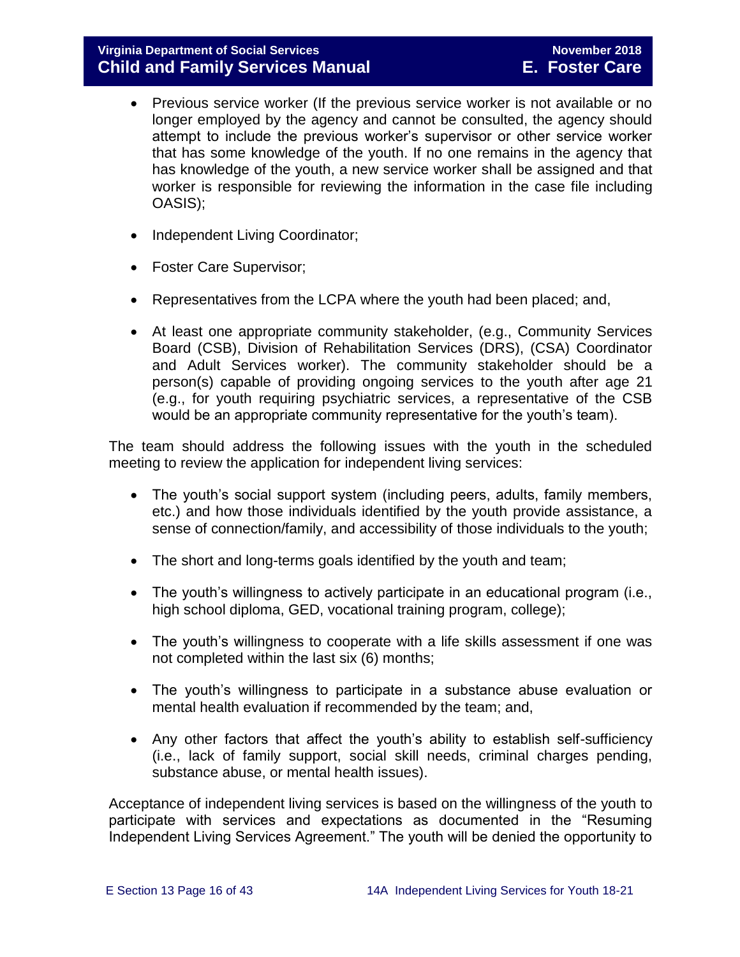- Previous service worker (If the previous service worker is not available or no longer employed by the agency and cannot be consulted, the agency should attempt to include the previous worker's supervisor or other service worker that has some knowledge of the youth. If no one remains in the agency that has knowledge of the youth, a new service worker shall be assigned and that worker is responsible for reviewing the information in the case file including OASIS);
- Independent Living Coordinator;
- Foster Care Supervisor;
- Representatives from the LCPA where the youth had been placed; and,
- At least one appropriate community stakeholder, (e.g., Community Services Board (CSB), Division of Rehabilitation Services (DRS), (CSA) Coordinator and Adult Services worker). The community stakeholder should be a person(s) capable of providing ongoing services to the youth after age 21 (e.g., for youth requiring psychiatric services, a representative of the CSB would be an appropriate community representative for the youth's team).

The team should address the following issues with the youth in the scheduled meeting to review the application for independent living services:

- The youth's social support system (including peers, adults, family members, etc.) and how those individuals identified by the youth provide assistance, a sense of connection/family, and accessibility of those individuals to the youth;
- The short and long-terms goals identified by the youth and team;
- The youth's willingness to actively participate in an educational program (i.e., high school diploma, GED, vocational training program, college);
- The youth's willingness to cooperate with a life skills assessment if one was not completed within the last six (6) months;
- The youth's willingness to participate in a substance abuse evaluation or mental health evaluation if recommended by the team; and,
- Any other factors that affect the youth's ability to establish self-sufficiency (i.e., lack of family support, social skill needs, criminal charges pending, substance abuse, or mental health issues).

Acceptance of independent living services is based on the willingness of the youth to participate with services and expectations as documented in the "Resuming Independent Living Services Agreement." The youth will be denied the opportunity to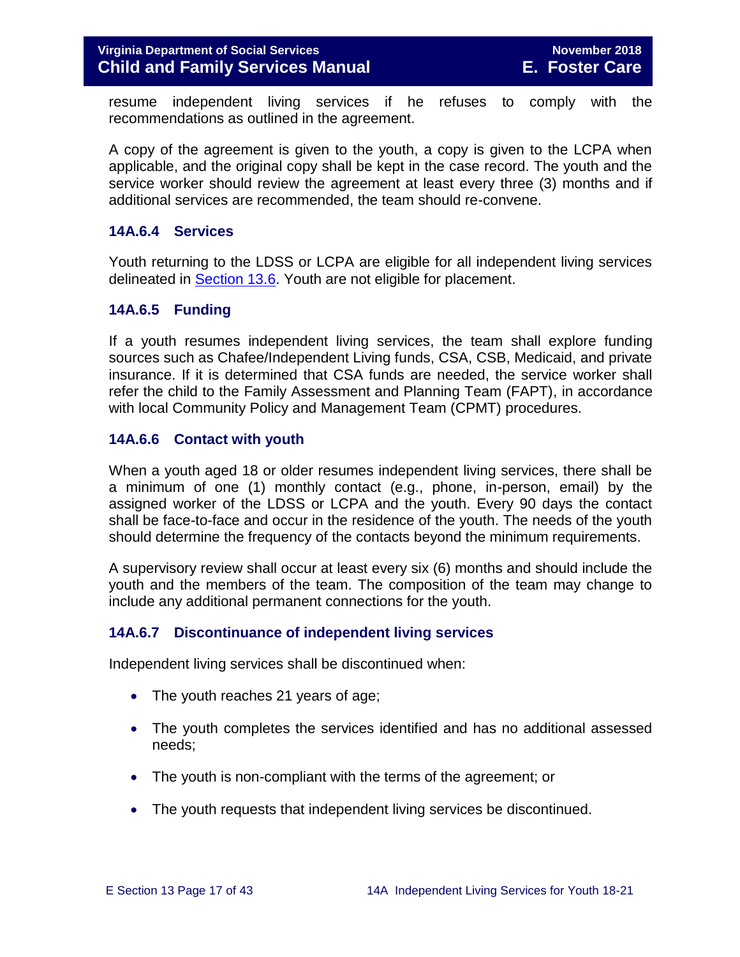resume independent living services if he refuses to comply with the recommendations as outlined in the agreement.

A copy of the agreement is given to the youth, a copy is given to the LCPA when applicable, and the original copy shall be kept in the case record. The youth and the service worker should review the agreement at least every three (3) months and if additional services are recommended, the team should re-convene.

#### <span id="page-16-0"></span>**14A.6.4 Services**

Youth returning to the LDSS or LCPA are eligible for all independent living services delineated in [Section 13.6.](http://www.dss.virginia.gov/files/division/dfs/fc/intro_page/guidance_manuals/fc/07_2015/Section_13_Achieving_Permanency_for_Older_Youth.pdf) Youth are not eligible for placement.

#### <span id="page-16-1"></span>**14A.6.5 Funding**

If a youth resumes independent living services, the team shall explore funding sources such as Chafee/Independent Living funds, CSA, CSB, Medicaid, and private insurance. If it is determined that CSA funds are needed, the service worker shall refer the child to the Family Assessment and Planning Team (FAPT), in accordance with local Community Policy and Management Team (CPMT) procedures.

#### <span id="page-16-2"></span>**14A.6.6 Contact with youth**

When a youth aged 18 or older resumes independent living services, there shall be a minimum of one (1) monthly contact (e.g., phone, in-person, email) by the assigned worker of the LDSS or LCPA and the youth. Every 90 days the contact shall be face-to-face and occur in the residence of the youth. The needs of the youth should determine the frequency of the contacts beyond the minimum requirements.

A supervisory review shall occur at least every six (6) months and should include the youth and the members of the team. The composition of the team may change to include any additional permanent connections for the youth.

#### <span id="page-16-3"></span>**14A.6.7 Discontinuance of independent living services**

Independent living services shall be discontinued when:

- The youth reaches 21 years of age;
- The youth completes the services identified and has no additional assessed needs;
- The youth is non-compliant with the terms of the agreement; or
- The youth requests that independent living services be discontinued.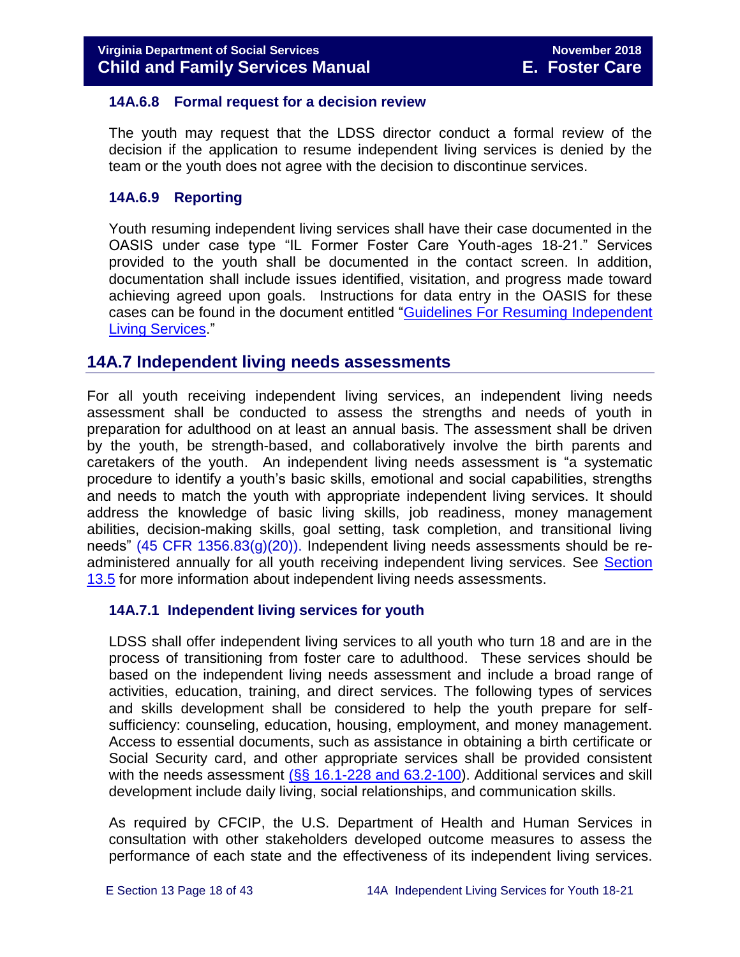#### <span id="page-17-0"></span>**14A.6.8 Formal request for a decision review**

The youth may request that the LDSS director conduct a formal review of the decision if the application to resume independent living services is denied by the team or the youth does not agree with the decision to discontinue services.

#### <span id="page-17-1"></span>**14A.6.9 Reporting**

Youth resuming independent living services shall have their case documented in the OASIS under case type "IL Former Foster Care Youth-ages 18-21." Services provided to the youth shall be documented in the contact screen. In addition, documentation shall include issues identified, visitation, and progress made toward achieving agreed upon goals. Instructions for data entry in the OASIS for these cases can be found in the document entitled "Guidelines For Resuming Independent [Living Services.](http://spark.dss.virginia.gov/divisions/dfs/fc/files/procedures/general/guidelines_for_resuming_il_services_spark.doc)"

#### <span id="page-17-2"></span>**14A.7 Independent living needs assessments**

For all youth receiving independent living services, an independent living needs assessment shall be conducted to assess the strengths and needs of youth in preparation for adulthood on at least an annual basis. The assessment shall be driven by the youth, be strength-based, and collaboratively involve the birth parents and caretakers of the youth. An independent living needs assessment is "a systematic procedure to identify a youth's basic skills, emotional and social capabilities, strengths and needs to match the youth with appropriate independent living services. It should address the knowledge of basic living skills, job readiness, money management abilities, decision-making skills, goal setting, task completion, and transitional living needs" [\(45 CFR 1356.83\(g\)\(20\)\)](http://www.ecfr.gov/cgi-bin/retrieveECFR?gp=1&SID=3d9be8b33d08994a45cff8aaff9f9476&ty=HTML&h=L&mc=true&r=PART&n=pt45.4.1356). Independent living needs assessments should be readministered annually for all youth receiving independent living services. See [Section](http://www.dss.virginia.gov/files/division/dfs/fc/intro_page/guidance_manuals/fc/07_2015/Section_13_Achieving_Permanency_for_Older_Youth.pdf)  [13.5](http://www.dss.virginia.gov/files/division/dfs/fc/intro_page/guidance_manuals/fc/07_2015/Section_13_Achieving_Permanency_for_Older_Youth.pdf) for more information about independent living needs assessments.

#### <span id="page-17-3"></span>**14A.7.1 Independent living services for youth**

LDSS shall offer independent living services to all youth who turn 18 and are in the process of transitioning from foster care to adulthood. These services should be based on the independent living needs assessment and include a broad range of activities, education, training, and direct services. The following types of services and skills development shall be considered to help the youth prepare for selfsufficiency: counseling, education, housing, employment, and money management. Access to essential documents, such as assistance in obtaining a birth certificate or Social Security card, and other appropriate services shall be provided consistent with the needs assessment  $(S<sub>S</sub> 16.1-228$  and  $63.2-100)$ . Additional services and skill development include daily living, social relationships, and communication skills.

As required by CFCIP, the U.S. Department of Health and Human Services in consultation with other stakeholders developed outcome measures to assess the performance of each state and the effectiveness of its independent living services.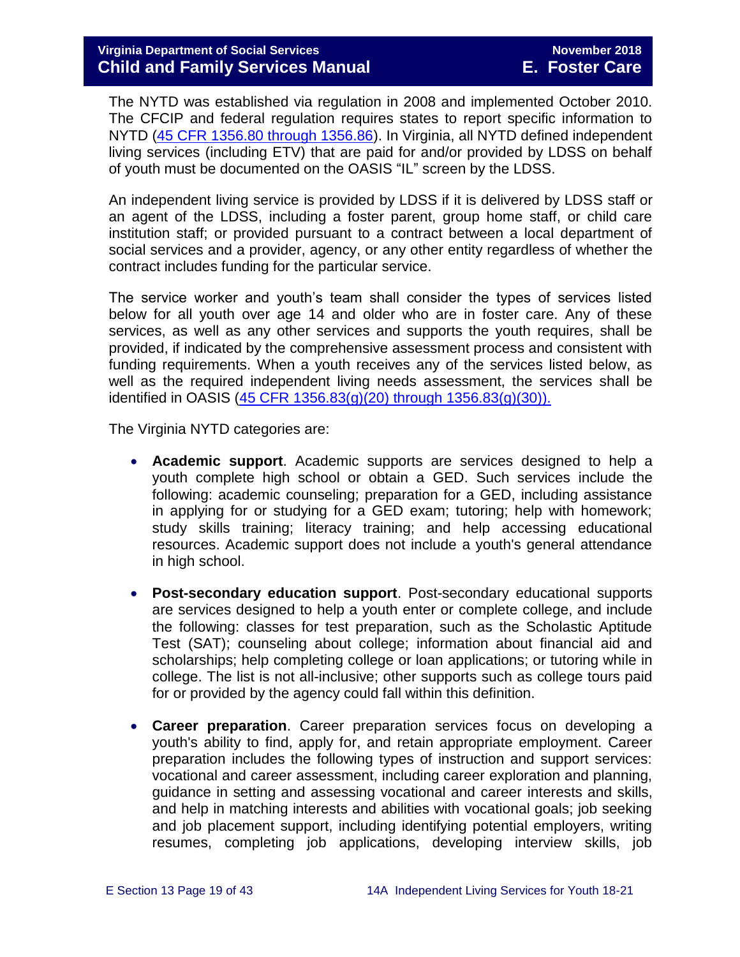The NYTD was established via regulation in 2008 and implemented October 2010. The CFCIP and federal regulation requires states to report specific information to NYTD [\(45 CFR 1356.80 through 1356.86\)](https://www.law.cornell.edu/cfr/text/45/1356.83). In Virginia, all NYTD defined independent living services (including ETV) that are paid for and/or provided by LDSS on behalf of youth must be documented on the OASIS "IL" screen by the LDSS.

An independent living service is provided by LDSS if it is delivered by LDSS staff or an agent of the LDSS, including a foster parent, group home staff, or child care institution staff; or provided pursuant to a contract between a local department of social services and a provider, agency, or any other entity regardless of whether the contract includes funding for the particular service.

The service worker and youth's team shall consider the types of services listed below for all youth over age 14 and older who are in foster care. Any of these services, as well as any other services and supports the youth requires, shall be provided, if indicated by the comprehensive assessment process and consistent with funding requirements. When a youth receives any of the services listed below, as well as the required independent living needs assessment, the services shall be identified in OASIS (45 CFR 1356.83(g)(20) through  $1356.83(g)(30)$ ).

The Virginia NYTD categories are:

- **Academic support**. Academic supports are services designed to help a youth complete high school or obtain a GED. Such services include the following: academic counseling; preparation for a GED, including assistance in applying for or studying for a GED exam; tutoring; help with homework; study skills training; literacy training; and help accessing educational resources. Academic support does not include a youth's general attendance in high school.
- **Post-secondary education support**. Post-secondary educational supports are services designed to help a youth enter or complete college, and include the following: classes for test preparation, such as the Scholastic Aptitude Test (SAT); counseling about college; information about financial aid and scholarships; help completing college or loan applications; or tutoring while in college. The list is not all-inclusive; other supports such as college tours paid for or provided by the agency could fall within this definition.
- **Career preparation**. Career preparation services focus on developing a youth's ability to find, apply for, and retain appropriate employment. Career preparation includes the following types of instruction and support services: vocational and career assessment, including career exploration and planning, guidance in setting and assessing vocational and career interests and skills, and help in matching interests and abilities with vocational goals; job seeking and job placement support, including identifying potential employers, writing resumes, completing job applications, developing interview skills, job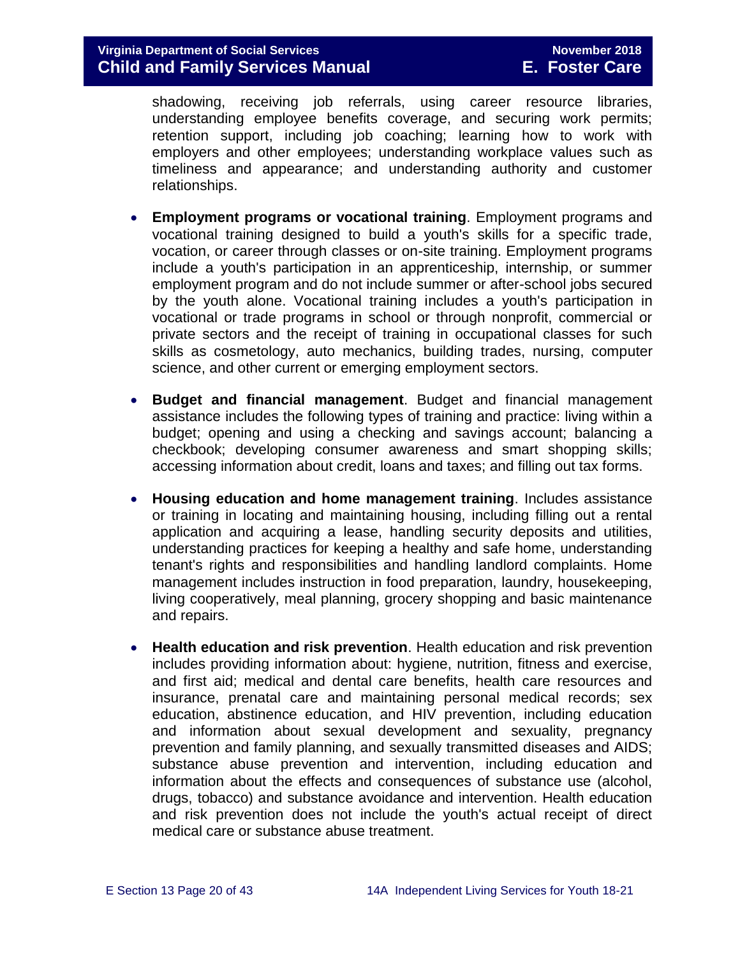shadowing, receiving job referrals, using career resource libraries, understanding employee benefits coverage, and securing work permits; retention support, including job coaching; learning how to work with employers and other employees; understanding workplace values such as timeliness and appearance; and understanding authority and customer relationships.

- **Employment programs or vocational training**. Employment programs and vocational training designed to build a youth's skills for a specific trade, vocation, or career through classes or on-site training. Employment programs include a youth's participation in an apprenticeship, internship, or summer employment program and do not include summer or after-school jobs secured by the youth alone. Vocational training includes a youth's participation in vocational or trade programs in school or through nonprofit, commercial or private sectors and the receipt of training in occupational classes for such skills as cosmetology, auto mechanics, building trades, nursing, computer science, and other current or emerging employment sectors.
- **Budget and financial management**. Budget and financial management assistance includes the following types of training and practice: living within a budget; opening and using a checking and savings account; balancing a checkbook; developing consumer awareness and smart shopping skills; accessing information about credit, loans and taxes; and filling out tax forms.
- **Housing education and home management training**. Includes assistance or training in locating and maintaining housing, including filling out a rental application and acquiring a lease, handling security deposits and utilities, understanding practices for keeping a healthy and safe home, understanding tenant's rights and responsibilities and handling landlord complaints. Home management includes instruction in food preparation, laundry, housekeeping, living cooperatively, meal planning, grocery shopping and basic maintenance and repairs.
- **Health education and risk prevention**. Health education and risk prevention includes providing information about: hygiene, nutrition, fitness and exercise, and first aid; medical and dental care benefits, health care resources and insurance, prenatal care and maintaining personal medical records; sex education, abstinence education, and HIV prevention, including education and information about sexual development and sexuality, pregnancy prevention and family planning, and sexually transmitted diseases and AIDS; substance abuse prevention and intervention, including education and information about the effects and consequences of substance use (alcohol, drugs, tobacco) and substance avoidance and intervention. Health education and risk prevention does not include the youth's actual receipt of direct medical care or substance abuse treatment.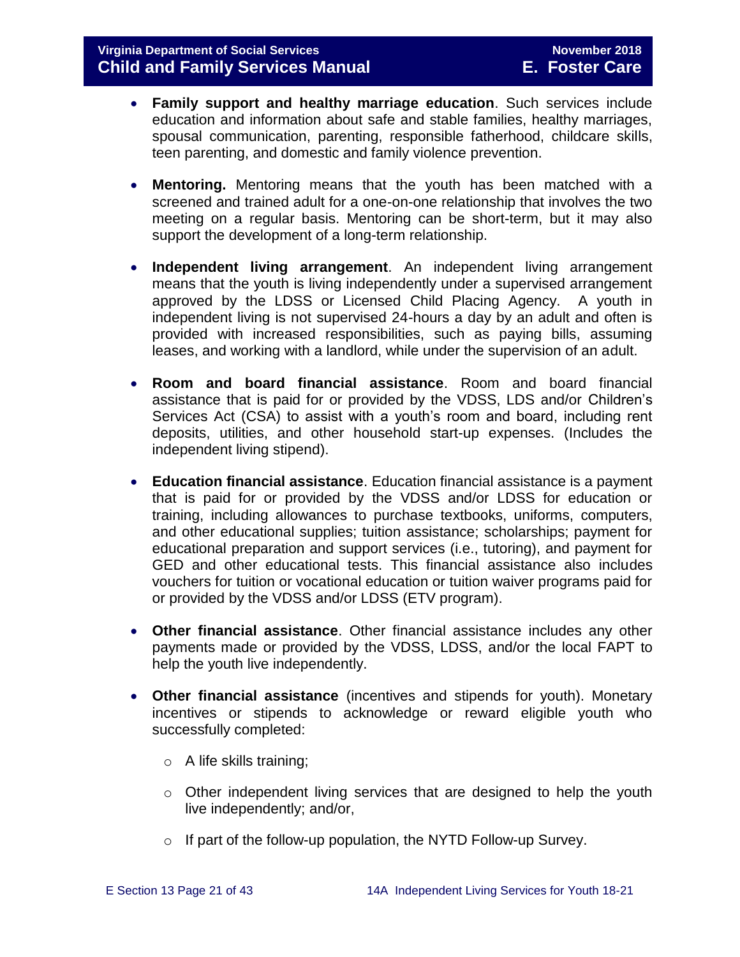- **Family support and healthy marriage education**. Such services include education and information about safe and stable families, healthy marriages, spousal communication, parenting, responsible fatherhood, childcare skills, teen parenting, and domestic and family violence prevention.
- **Mentoring.** Mentoring means that the youth has been matched with a screened and trained adult for a one-on-one relationship that involves the two meeting on a regular basis. Mentoring can be short-term, but it may also support the development of a long-term relationship.
- **Independent living arrangement**. An independent living arrangement means that the youth is living independently under a supervised arrangement approved by the LDSS or Licensed Child Placing Agency. A youth in independent living is not supervised 24-hours a day by an adult and often is provided with increased responsibilities, such as paying bills, assuming leases, and working with a landlord, while under the supervision of an adult.
- **Room and board financial assistance**. Room and board financial assistance that is paid for or provided by the VDSS, LDS and/or Children's Services Act (CSA) to assist with a youth's room and board, including rent deposits, utilities, and other household start-up expenses. (Includes the independent living stipend).
- **Education financial assistance**. Education financial assistance is a payment that is paid for or provided by the VDSS and/or LDSS for education or training, including allowances to purchase textbooks, uniforms, computers, and other educational supplies; tuition assistance; scholarships; payment for educational preparation and support services (i.e., tutoring), and payment for GED and other educational tests. This financial assistance also includes vouchers for tuition or vocational education or tuition waiver programs paid for or provided by the VDSS and/or LDSS (ETV program).
- **Other financial assistance**. Other financial assistance includes any other payments made or provided by the VDSS, LDSS, and/or the local FAPT to help the youth live independently.
- **Other financial assistance** (incentives and stipends for youth). Monetary incentives or stipends to acknowledge or reward eligible youth who successfully completed:
	- o A life skills training;
	- o Other independent living services that are designed to help the youth live independently; and/or,
	- o If part of the follow-up population, the NYTD Follow-up Survey.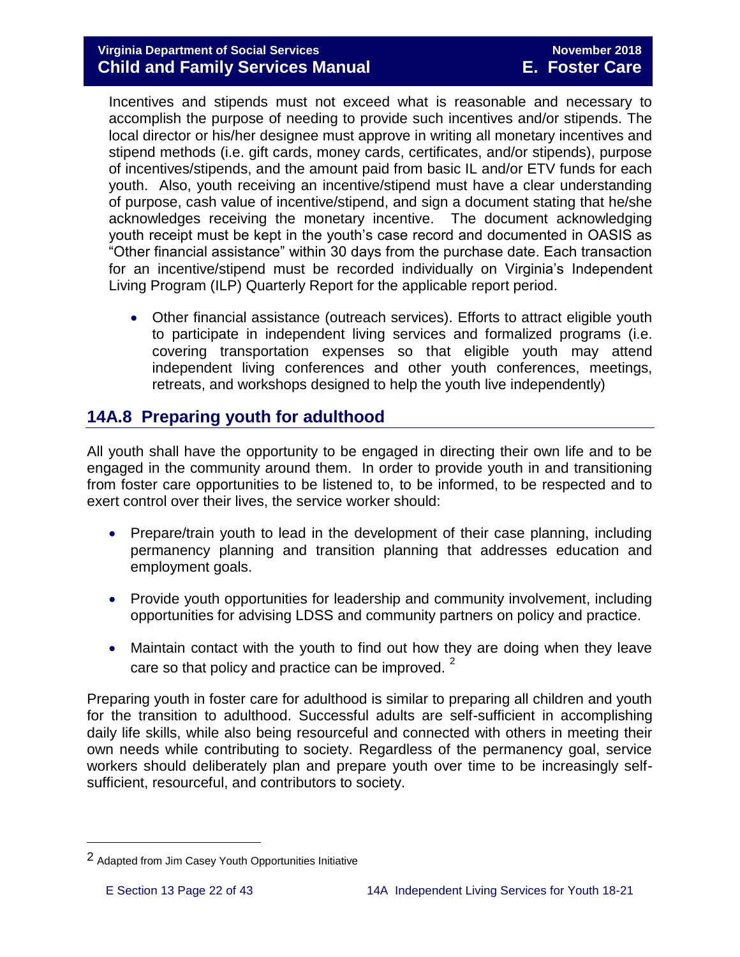#### **Virginia Department of Social Services** November 2018 **Child and Family Services Manual E. Foster Care**

Incentives and stipends must not exceed what is reasonable and necessary to accomplish the purpose of needing to provide such incentives and/or stipends. The local director or his/her designee must approve in writing all monetary incentives and stipend methods (i.e. gift cards, money cards, certificates, and/or stipends), purpose of incentives/stipends, and the amount paid from basic IL and/or ETV funds for each youth. Also, youth receiving an incentive/stipend must have a clear understanding of purpose, cash value of incentive/stipend, and sign a document stating that he/she acknowledges receiving the monetary incentive. The document acknowledging youth receipt must be kept in the youth's case record and documented in OASIS as "Other financial assistance" within 30 days from the purchase date. Each transaction for an incentive/stipend must be recorded individually on Virginia's Independent Living Program (ILP) Quarterly Report for the applicable report period.

 Other financial assistance (outreach services). Efforts to attract eligible youth to participate in independent living services and formalized programs (i.e. covering transportation expenses so that eligible youth may attend independent living conferences and other youth conferences, meetings, retreats, and workshops designed to help the youth live independently)

# <span id="page-21-0"></span>**14A.8 Preparing youth for adulthood**

All youth shall have the opportunity to be engaged in directing their own life and to be engaged in the community around them. In order to provide youth in and transitioning from foster care opportunities to be listened to, to be informed, to be respected and to exert control over their lives, the service worker should:

- Prepare/train youth to lead in the development of their case planning, including permanency planning and transition planning that addresses education and employment goals.
- Provide youth opportunities for leadership and community involvement, including opportunities for advising LDSS and community partners on policy and practice.
- Maintain contact with the youth to find out how they are doing when they leave care so that policy and practice can be improved.<sup>2</sup>

Preparing youth in foster care for adulthood is similar to preparing all children and youth for the transition to adulthood. Successful adults are self-sufficient in accomplishing daily life skills, while also being resourceful and connected with others in meeting their own needs while contributing to society. Regardless of the permanency goal, service workers should deliberately plan and prepare youth over time to be increasingly selfsufficient, resourceful, and contributors to society.

i<br>L

<sup>2</sup> Adapted from Jim Casey Youth Opportunities Initiative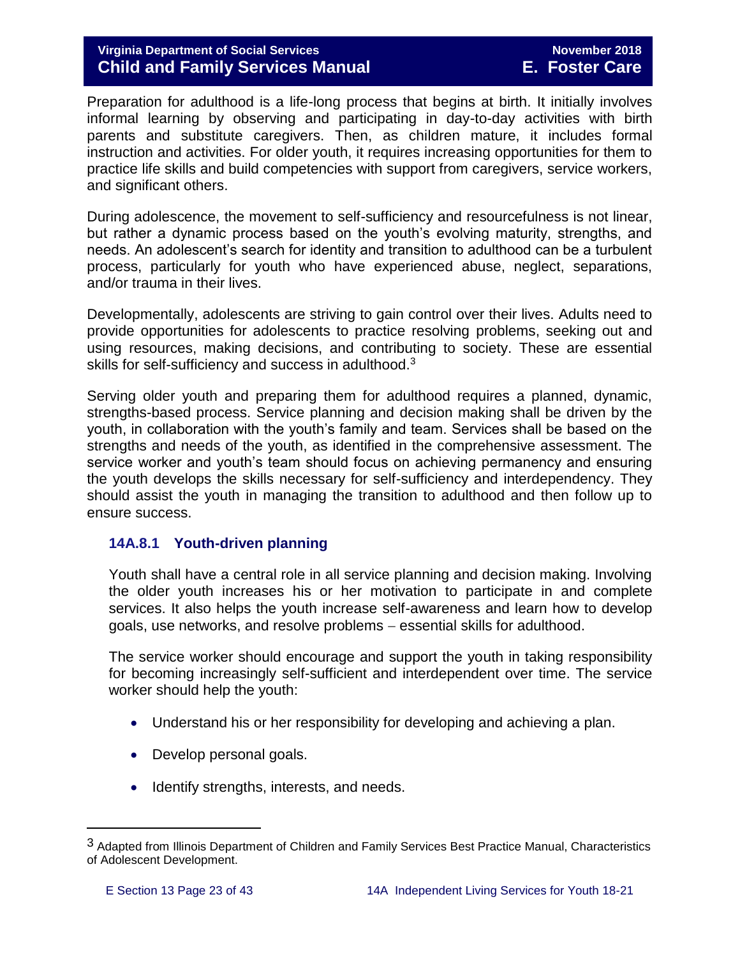#### **Virginia Department of Social Services November 2018 Child and Family Services Manual E. Foster Care**

Preparation for adulthood is a life-long process that begins at birth. It initially involves informal learning by observing and participating in day-to-day activities with birth parents and substitute caregivers. Then, as children mature, it includes formal instruction and activities. For older youth, it requires increasing opportunities for them to practice life skills and build competencies with support from caregivers, service workers, and significant others.

During adolescence, the movement to self-sufficiency and resourcefulness is not linear, but rather a dynamic process based on the youth's evolving maturity, strengths, and needs. An adolescent's search for identity and transition to adulthood can be a turbulent process, particularly for youth who have experienced abuse, neglect, separations, and/or trauma in their lives.

Developmentally, adolescents are striving to gain control over their lives. Adults need to provide opportunities for adolescents to practice resolving problems, seeking out and using resources, making decisions, and contributing to society. These are essential skills for self-sufficiency and success in adulthood.<sup>3</sup>

Serving older youth and preparing them for adulthood requires a planned, dynamic, strengths-based process. Service planning and decision making shall be driven by the youth, in collaboration with the youth's family and team. Services shall be based on the strengths and needs of the youth, as identified in the comprehensive assessment. The service worker and youth's team should focus on achieving permanency and ensuring the youth develops the skills necessary for self-sufficiency and interdependency. They should assist the youth in managing the transition to adulthood and then follow up to ensure success.

#### <span id="page-22-0"></span>**14A.8.1 Youth-driven planning**

Youth shall have a central role in all service planning and decision making. Involving the older youth increases his or her motivation to participate in and complete services. It also helps the youth increase self-awareness and learn how to develop goals, use networks, and resolve problems – essential skills for adulthood.

The service worker should encourage and support the youth in taking responsibility for becoming increasingly self-sufficient and interdependent over time. The service worker should help the youth:

- Understand his or her responsibility for developing and achieving a plan.
- Develop personal goals.
- Identify strengths, interests, and needs.

i<br>L

<sup>3</sup> Adapted from Illinois Department of Children and Family Services Best Practice Manual, Characteristics of Adolescent Development.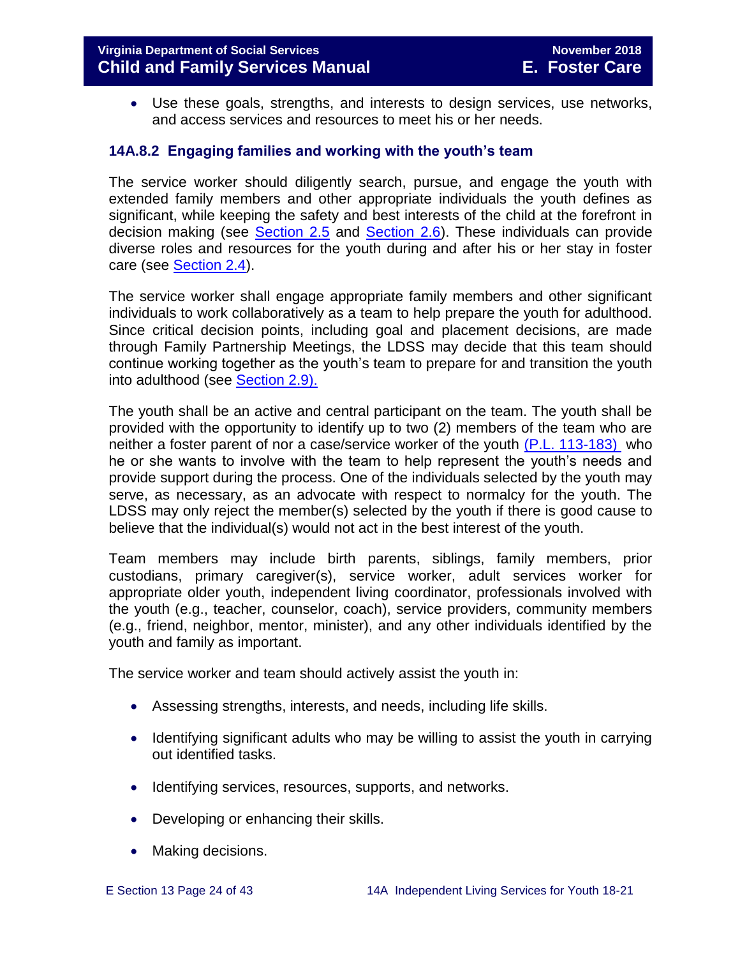Use these goals, strengths, and interests to design services, use networks, and access services and resources to meet his or her needs.

#### <span id="page-23-0"></span>**14A.8.2 Engaging families and working with the youth's team**

The service worker should diligently search, pursue, and engage the youth with extended family members and other appropriate individuals the youth defines as significant, while keeping the safety and best interests of the child at the forefront in decision making (see [Section 2.5](http://www.dss.virginia.gov/files/division/dfs/fc/intro_page/guidance_manuals/fc/07_2015/Section_02_Engaging_the_Child_Family_and_Significant_Adults.pdf) and [Section 2.6\)](http://www.dss.virginia.gov/files/division/dfs/fc/intro_page/guidance_manuals/fc/07_2015/Section_02_Engaging_the_Child_Family_and_Significant_Adults.pdf). These individuals can provide diverse roles and resources for the youth during and after his or her stay in foster care (see [Section 2.4\)](http://www.dss.virginia.gov/files/division/dfs/fc/intro_page/guidance_manuals/fc/07_2015/Section_02_Engaging_the_Child_Family_and_Significant_Adults.pdf).

The service worker shall engage appropriate family members and other significant individuals to work collaboratively as a team to help prepare the youth for adulthood. Since critical decision points, including goal and placement decisions, are made through Family Partnership Meetings, the LDSS may decide that this team should continue working together as the youth's team to prepare for and transition the youth into adulthood (see [Section 2.9\).](http://www.dss.virginia.gov/files/division/dfs/fc/intro_page/guidance_manuals/fc/07_2015/Section_02_Engaging_the_Child_Family_and_Significant_Adults.pdf)

The youth shall be an active and central participant on the team. The youth shall be provided with the opportunity to identify up to two (2) members of the team who are neither a foster parent of nor a case/service worker of the youth [\(P.L. 113-183\)](https://www.congress.gov/113/plaws/publ183/PLAW-113publ183.pdf) who he or she wants to involve with the team to help represent the youth's needs and provide support during the process. One of the individuals selected by the youth may serve, as necessary, as an advocate with respect to normalcy for the youth. The LDSS may only reject the member(s) selected by the youth if there is good cause to believe that the individual(s) would not act in the best interest of the youth.

Team members may include birth parents, siblings, family members, prior custodians, primary caregiver(s), service worker, adult services worker for appropriate older youth, independent living coordinator, professionals involved with the youth (e.g., teacher, counselor, coach), service providers, community members (e.g., friend, neighbor, mentor, minister), and any other individuals identified by the youth and family as important.

The service worker and team should actively assist the youth in:

- Assessing strengths, interests, and needs, including life skills.
- Identifying significant adults who may be willing to assist the youth in carrying out identified tasks.
- Identifying services, resources, supports, and networks.
- Developing or enhancing their skills.
- Making decisions.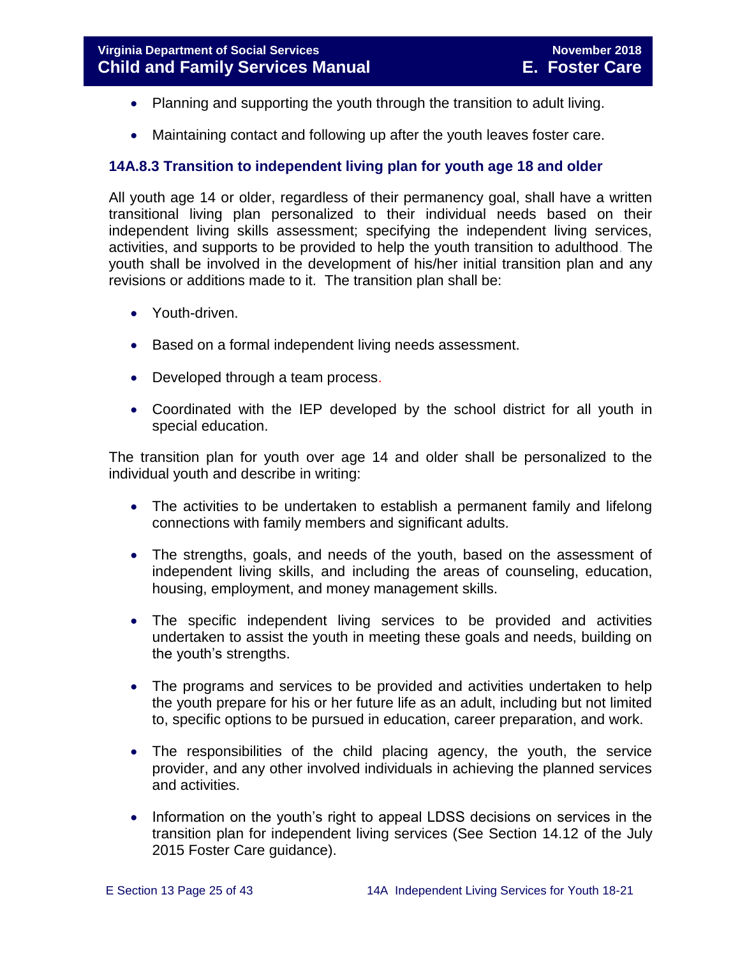- Planning and supporting the youth through the transition to adult living.
- Maintaining contact and following up after the youth leaves foster care.

#### <span id="page-24-0"></span>**14A.8.3 Transition to independent living plan for youth age 18 and older**

All youth age 14 or older, regardless of their permanency goal, shall have a written transitional living plan personalized to their individual needs based on their independent living skills assessment; specifying the independent living services, activities, and supports to be provided to help the youth transition to adulthood. The youth shall be involved in the development of his/her initial transition plan and any revisions or additions made to it. The transition plan shall be:

- Youth-driven.
- Based on a formal independent living needs assessment.
- Developed through a team process.
- Coordinated with the IEP developed by the school district for all youth in special education.

The transition plan for youth over age 14 and older shall be personalized to the individual youth and describe in writing:

- The activities to be undertaken to establish a permanent family and lifelong connections with family members and significant adults.
- The strengths, goals, and needs of the youth, based on the assessment of independent living skills, and including the areas of counseling, education, housing, employment, and money management skills.
- The specific independent living services to be provided and activities undertaken to assist the youth in meeting these goals and needs, building on the youth's strengths.
- The programs and services to be provided and activities undertaken to help the youth prepare for his or her future life as an adult, including but not limited to, specific options to be pursued in education, career preparation, and work.
- The responsibilities of the child placing agency, the youth, the service provider, and any other involved individuals in achieving the planned services and activities.
- Information on the youth's right to appeal LDSS decisions on services in the transition plan for independent living services (See Section 14.12 of the July 2015 Foster Care guidance).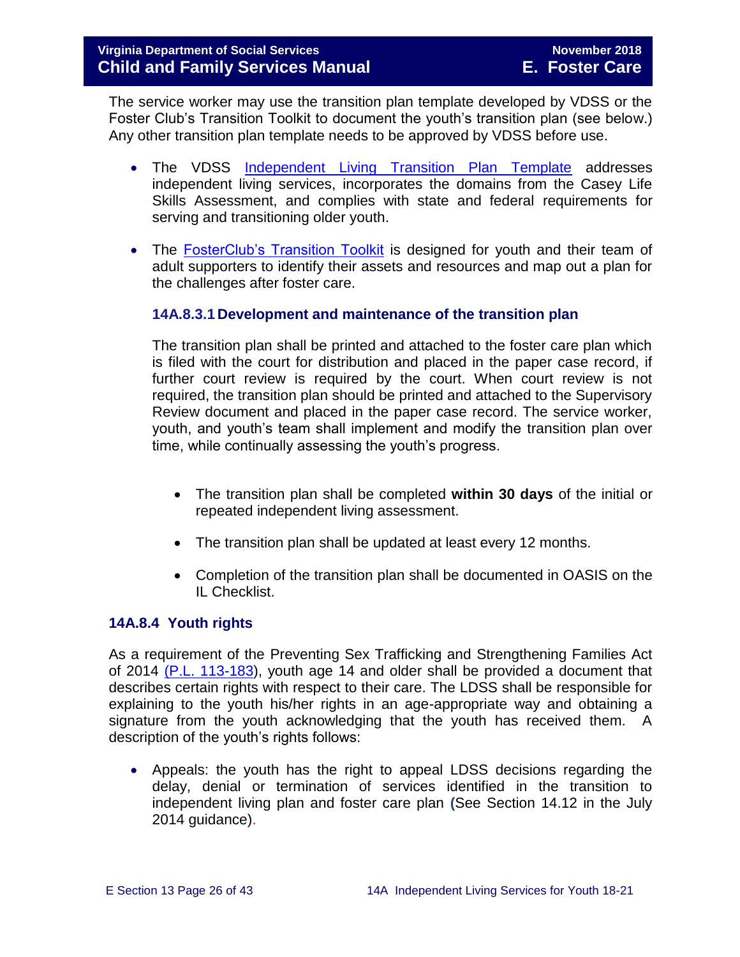The service worker may use the transition plan template developed by VDSS or the Foster Club's Transition Toolkit to document the youth's transition plan (see below.) Any other transition plan template needs to be approved by VDSS before use.

- The VDSS [Independent Living Transition Plan Template](http://www.dss.virginia.gov/files/division/dfs/fc/intro_page/forms/032-04-0076-02-eng.pdf) addresses independent living services, incorporates the domains from the Casey Life Skills Assessment, and complies with state and federal requirements for serving and transitioning older youth.
- The [FosterClub's Transition Toolkit](https://www.fosterclub.com/_transition/article/transition-toolkit) is designed for youth and their team of adult supporters to identify their assets and resources and map out a plan for the challenges after foster care.

#### <span id="page-25-0"></span>**14A.8.3.1 Development and maintenance of the transition plan**

The transition plan shall be printed and attached to the foster care plan which is filed with the court for distribution and placed in the paper case record, if further court review is required by the court. When court review is not required, the transition plan should be printed and attached to the Supervisory Review document and placed in the paper case record. The service worker, youth, and youth's team shall implement and modify the transition plan over time, while continually assessing the youth's progress.

- The transition plan shall be completed **within 30 days** of the initial or repeated independent living assessment.
- The transition plan shall be updated at least every 12 months.
- Completion of the transition plan shall be documented in OASIS on the IL Checklist.

#### <span id="page-25-1"></span>**14A.8.4 Youth rights**

As a requirement of the Preventing Sex Trafficking and Strengthening Families Act of 2014 [\(P.L. 113-183\)](https://www.congress.gov/113/plaws/publ183/PLAW-113publ183.pdf), youth age 14 and older shall be provided a document that describes certain rights with respect to their care. The LDSS shall be responsible for explaining to the youth his/her rights in an age-appropriate way and obtaining a signature from the youth acknowledging that the youth has received them. A description of the youth's rights follows:

 Appeals: the youth has the right to appeal LDSS decisions regarding the delay, denial or termination of services identified in the transition to independent living plan and foster care plan **(**See Section 14.12 in the July 2014 quidance).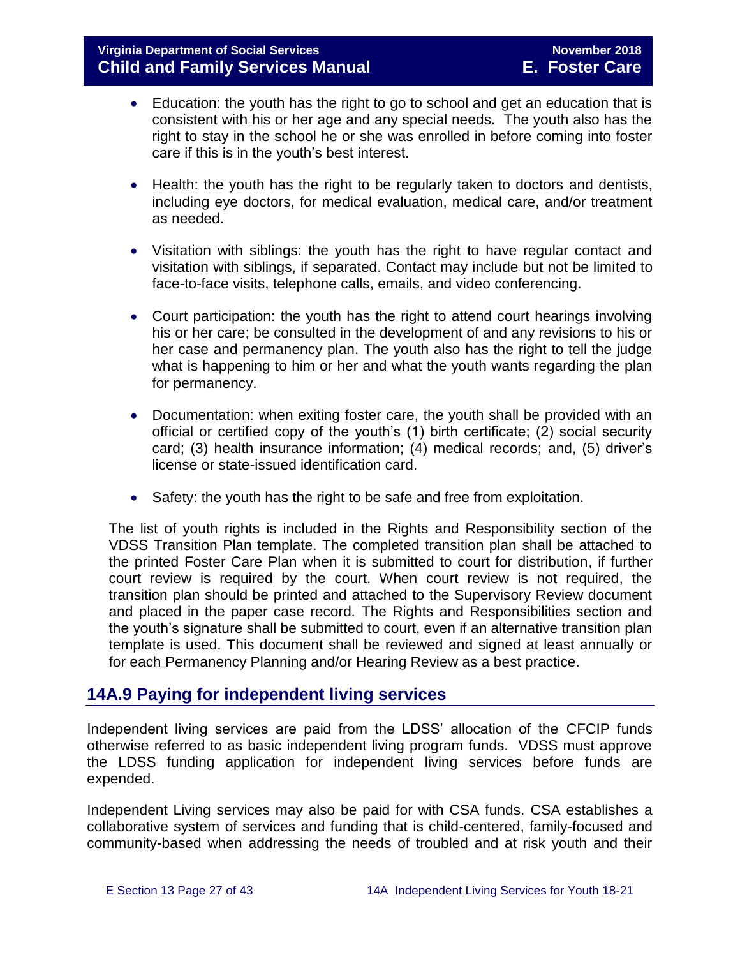- Education: the youth has the right to go to school and get an education that is consistent with his or her age and any special needs. The youth also has the right to stay in the school he or she was enrolled in before coming into foster care if this is in the youth's best interest.
- Health: the youth has the right to be regularly taken to doctors and dentists, including eye doctors, for medical evaluation, medical care, and/or treatment as needed.
- Visitation with siblings: the youth has the right to have regular contact and visitation with siblings, if separated. Contact may include but not be limited to face-to-face visits, telephone calls, emails, and video conferencing.
- Court participation: the youth has the right to attend court hearings involving his or her care; be consulted in the development of and any revisions to his or her case and permanency plan. The youth also has the right to tell the judge what is happening to him or her and what the youth wants regarding the plan for permanency.
- Documentation: when exiting foster care, the youth shall be provided with an official or certified copy of the youth's (1) birth certificate; (2) social security card; (3) health insurance information; (4) medical records; and, (5) driver's license or state-issued identification card.
- Safety: the youth has the right to be safe and free from exploitation.

The list of youth rights is included in the Rights and Responsibility section of the VDSS Transition Plan template. The completed transition plan shall be attached to the printed Foster Care Plan when it is submitted to court for distribution, if further court review is required by the court. When court review is not required, the transition plan should be printed and attached to the Supervisory Review document and placed in the paper case record. The Rights and Responsibilities section and the youth's signature shall be submitted to court, even if an alternative transition plan template is used. This document shall be reviewed and signed at least annually or for each Permanency Planning and/or Hearing Review as a best practice.

# <span id="page-26-0"></span>**14A.9 Paying for independent living services**

Independent living services are paid from the LDSS' allocation of the CFCIP funds otherwise referred to as basic independent living program funds. VDSS must approve the LDSS funding application for independent living services before funds are expended.

Independent Living services may also be paid for with CSA funds. CSA establishes a collaborative system of services and funding that is child-centered, family-focused and community-based when addressing the needs of troubled and at risk youth and their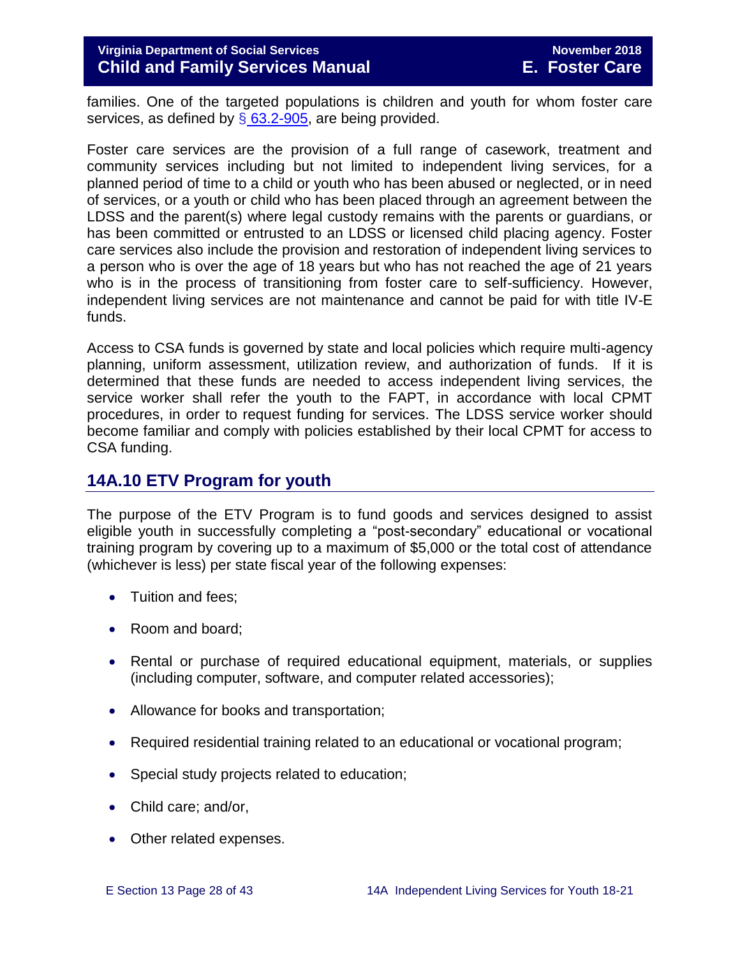#### **Virginia Department of Social Services November 2018 Child and Family Services Manual E. Foster Care**

families. One of the targeted populations is children and youth for whom foster care services, as defined by  $\S$  [63.2-905,](http://law.lis.virginia.gov/vacode/title63.2/chapter9/section63.2-905/) are being provided.

Foster care services are the provision of a full range of casework, treatment and community services including but not limited to independent living services, for a planned period of time to a child or youth who has been abused or neglected, or in need of services, or a youth or child who has been placed through an agreement between the LDSS and the parent(s) where legal custody remains with the parents or guardians, or has been committed or entrusted to an LDSS or licensed child placing agency. Foster care services also include the provision and restoration of independent living services to a person who is over the age of 18 years but who has not reached the age of 21 years who is in the process of transitioning from foster care to self-sufficiency. However, independent living services are not maintenance and cannot be paid for with title IV-E funds.

Access to CSA funds is governed by state and local policies which require multi-agency planning, uniform assessment, utilization review, and authorization of funds. If it is determined that these funds are needed to access independent living services, the service worker shall refer the youth to the FAPT, in accordance with local CPMT procedures, in order to request funding for services. The LDSS service worker should become familiar and comply with policies established by their local CPMT for access to CSA funding.

# <span id="page-27-0"></span>**14A.10 ETV Program for youth**

The purpose of the ETV Program is to fund goods and services designed to assist eligible youth in successfully completing a "post-secondary" educational or vocational training program by covering up to a maximum of \$5,000 or the total cost of attendance (whichever is less) per state fiscal year of the following expenses:

- Tuition and fees:
- Room and board;
- Rental or purchase of required educational equipment, materials, or supplies (including computer, software, and computer related accessories);
- Allowance for books and transportation;
- Required residential training related to an educational or vocational program;
- Special study projects related to education;
- Child care; and/or,
- Other related expenses.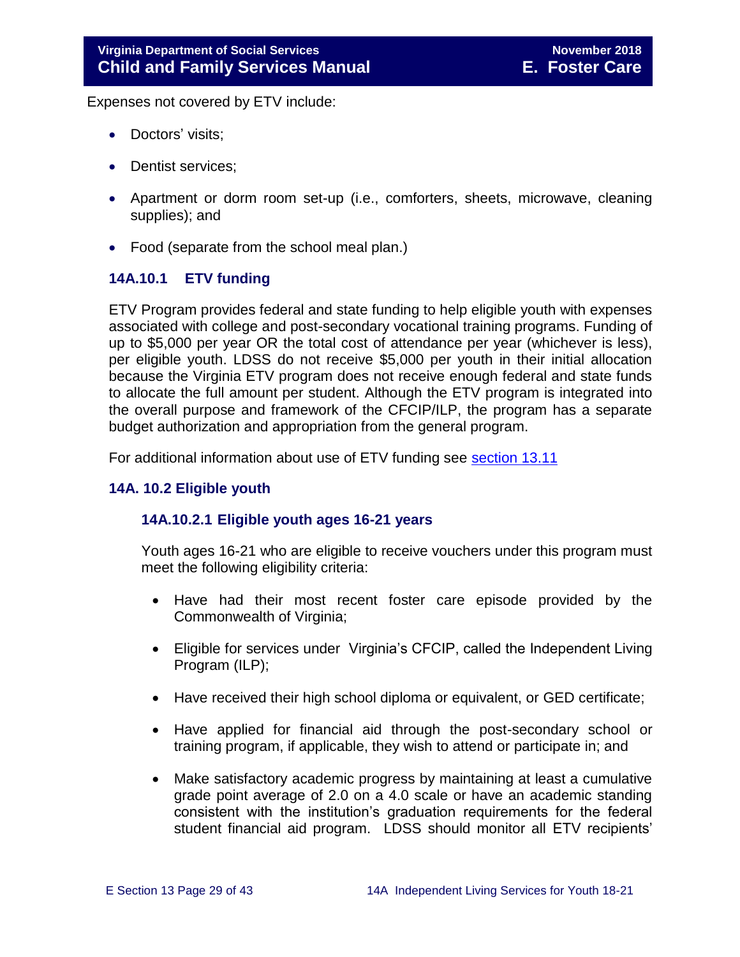Expenses not covered by ETV include:

- Doctors' visits;
- Dentist services;
- Apartment or dorm room set-up (i.e., comforters, sheets, microwave, cleaning supplies); and
- Food (separate from the school meal plan.)

#### <span id="page-28-0"></span>**14A.10.1 ETV funding**

ETV Program provides federal and state funding to help eligible youth with expenses associated with college and post-secondary vocational training programs. Funding of up to \$5,000 per year OR the total cost of attendance per year (whichever is less), per eligible youth. LDSS do not receive \$5,000 per youth in their initial allocation because the Virginia ETV program does not receive enough federal and state funds to allocate the full amount per student. Although the ETV program is integrated into the overall purpose and framework of the CFCIP/ILP, the program has a separate budget authorization and appropriation from the general program.

For additional information about use of ETV funding see [section 13.11](http://www.dss.virginia.gov/files/division/dfs/fc/intro_page/guidance_manuals/fc/07_2015/Section_13_Achieving_Permanency_for_Older_Youth.pdf)

#### <span id="page-28-2"></span><span id="page-28-1"></span>**14A. 10.2 Eligible youth**

#### **14A.10.2.1 Eligible youth ages 16-21 years**

Youth ages 16-21 who are eligible to receive vouchers under this program must meet the following eligibility criteria:

- Have had their most recent foster care episode provided by the Commonwealth of Virginia;
- Eligible for services under Virginia's CFCIP, called the Independent Living Program (ILP);
- Have received their high school diploma or equivalent, or GED certificate;
- Have applied for financial aid through the post-secondary school or training program, if applicable, they wish to attend or participate in; and
- Make satisfactory academic progress by maintaining at least a cumulative grade point average of 2.0 on a 4.0 scale or have an academic standing consistent with the institution's graduation requirements for the federal student financial aid program. LDSS should monitor all ETV recipients'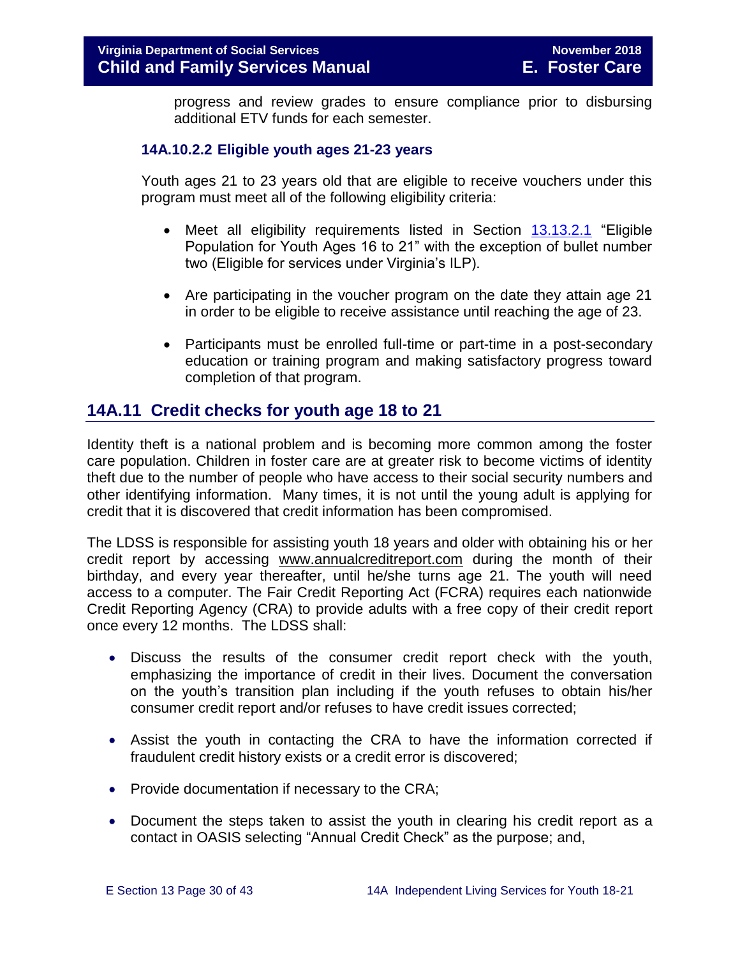progress and review grades to ensure compliance prior to disbursing additional ETV funds for each semester.

#### <span id="page-29-0"></span>**14A.10.2.2 Eligible youth ages 21-23 years**

Youth ages 21 to 23 years old that are eligible to receive vouchers under this program must meet all of the following eligibility criteria:

- Meet all eligibility requirements listed in Section [13.13.2.1](http://www.dss.virginia.gov/files/division/dfs/fc/intro_page/guidance_manuals/fc/07_2015/Section_13_Achieving_Permanency_for_Older_Youth.pdf) "Eligible Population for Youth Ages 16 to 21" with the exception of bullet number two (Eligible for services under Virginia's ILP).
- Are participating in the voucher program on the date they attain age 21 in order to be eligible to receive assistance until reaching the age of 23.
- Participants must be enrolled full-time or part-time in a post-secondary education or training program and making satisfactory progress toward completion of that program.

# <span id="page-29-1"></span>**14A.11 Credit checks for youth age 18 to 21**

Identity theft is a national problem and is becoming more common among the foster care population. Children in foster care are at greater risk to become victims of identity theft due to the number of people who have access to their social security numbers and other identifying information. Many times, it is not until the young adult is applying for credit that it is discovered that credit information has been compromised.

The LDSS is responsible for assisting youth 18 years and older with obtaining his or her credit report by accessing [www.annualcreditreport.com](https://www.annualcreditreport.com/index.action) during the month of their birthday, and every year thereafter, until he/she turns age 21. The youth will need access to a computer. The Fair Credit Reporting Act (FCRA) requires each nationwide Credit Reporting Agency (CRA) to provide adults with a free copy of their credit report once every 12 months. The LDSS shall:

- Discuss the results of the consumer credit report check with the youth, emphasizing the importance of credit in their lives. Document the conversation on the youth's transition plan including if the youth refuses to obtain his/her consumer credit report and/or refuses to have credit issues corrected;
- Assist the youth in contacting the CRA to have the information corrected if fraudulent credit history exists or a credit error is discovered;
- Provide documentation if necessary to the CRA;
- Document the steps taken to assist the youth in clearing his credit report as a contact in OASIS selecting "Annual Credit Check" as the purpose; and,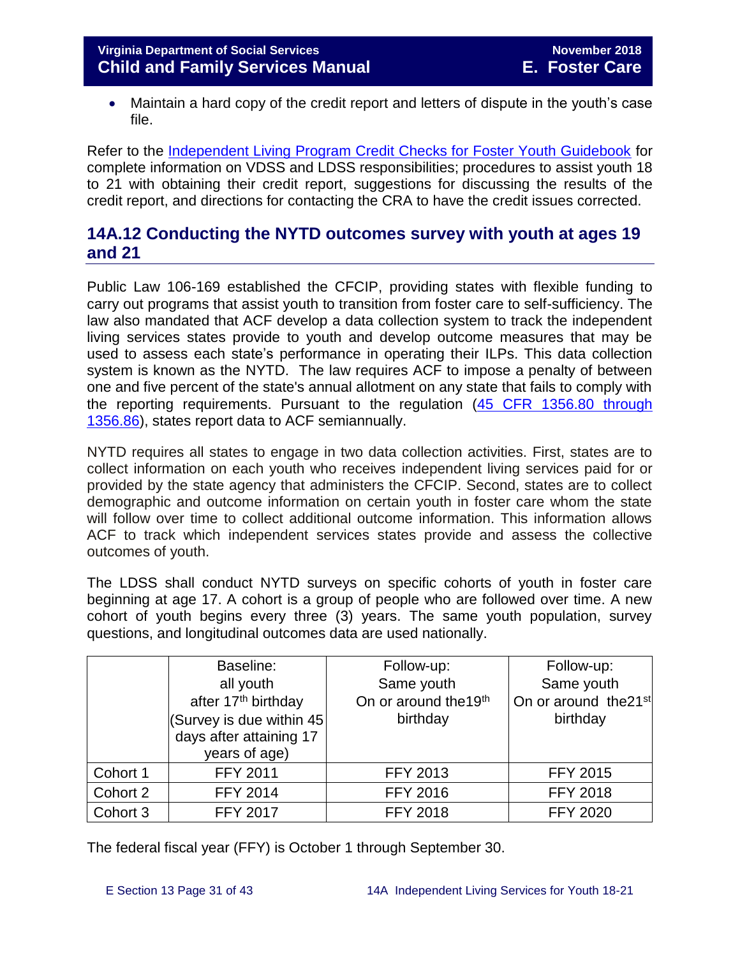• Maintain a hard copy of the credit report and letters of dispute in the youth's case file.

Refer to the [Independent Living Program Credit Checks for Foster Youth Guidebook](http://spark.dss.virginia.gov/divisions/dfs/fc/files/ilp/services/tools_templates/Credit_Checks_Guidebook_.pdf) for complete information on VDSS and LDSS responsibilities; procedures to assist youth 18 to 21 with obtaining their credit report, suggestions for discussing the results of the credit report, and directions for contacting the CRA to have the credit issues corrected.

# <span id="page-30-0"></span>**14A.12 Conducting the NYTD outcomes survey with youth at ages 19 and 21**

Public Law 106-169 established the CFCIP, providing states with flexible funding to carry out programs that assist youth to transition from foster care to self-sufficiency. The law also mandated that ACF develop a data collection system to track the independent living services states provide to youth and develop outcome measures that may be used to assess each state's performance in operating their ILPs. This data collection system is known as the NYTD. The law requires ACF to impose a penalty of between one and five percent of the state's annual allotment on any state that fails to comply with the reporting requirements. Pursuant to the regulation [\(45 CFR 1356.80 through](http://www.ecfr.gov/cgi-bin/retrieveECFR?gp=1&SID=3d9be8b33d08994a45cff8aaff9f9476&ty=HTML&h=L&mc=true&r=PART&n=pt45.4.1356)  [1356.86\)](http://www.ecfr.gov/cgi-bin/retrieveECFR?gp=1&SID=3d9be8b33d08994a45cff8aaff9f9476&ty=HTML&h=L&mc=true&r=PART&n=pt45.4.1356), states report data to ACF semiannually.

NYTD requires all states to engage in two data collection activities. First, states are to collect information on each youth who receives independent living services paid for or provided by the state agency that administers the CFCIP. Second, states are to collect demographic and outcome information on certain youth in foster care whom the state will follow over time to collect additional outcome information. This information allows ACF to track which independent services states provide and assess the collective outcomes of youth.

The LDSS shall conduct NYTD surveys on specific cohorts of youth in foster care beginning at age 17. A cohort is a group of people who are followed over time. A new cohort of youth begins every three (3) years. The same youth population, survey questions, and longitudinal outcomes data are used nationally.

|          | Baseline:                       | Follow-up:                        | Follow-up:                        |
|----------|---------------------------------|-----------------------------------|-----------------------------------|
|          | all youth                       | Same youth                        | Same youth                        |
|          | after 17 <sup>th</sup> birthday | On or around the 19 <sup>th</sup> | On or around the 21 <sup>st</sup> |
|          | (Survey is due within 45)       | birthday                          | birthday                          |
|          | days after attaining 17         |                                   |                                   |
|          | years of age)                   |                                   |                                   |
| Cohort 1 | <b>FFY 2011</b>                 | <b>FFY 2013</b>                   | <b>FFY 2015</b>                   |
| Cohort 2 | <b>FFY 2014</b>                 | <b>FFY 2016</b>                   | <b>FFY 2018</b>                   |
| Cohort 3 | <b>FFY 2017</b>                 | <b>FFY 2018</b>                   | <b>FFY 2020</b>                   |

The federal fiscal year (FFY) is October 1 through September 30.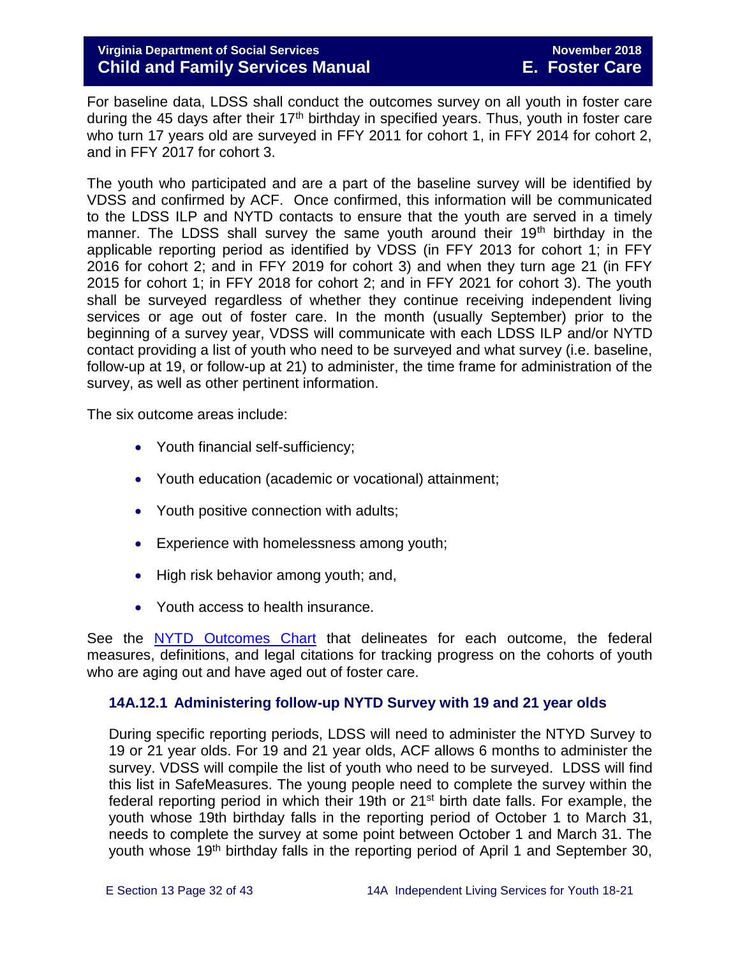#### **Virginia Department of Social Services** November 2018<br> **Virginia Department of Social Services Child and Family Services Manual E. Foster Care**

For baseline data, LDSS shall conduct the outcomes survey on all youth in foster care during the 45 days after their  $17<sup>th</sup>$  birthday in specified years. Thus, youth in foster care who turn 17 years old are surveyed in FFY 2011 for cohort 1, in FFY 2014 for cohort 2, and in FFY 2017 for cohort 3.

The youth who participated and are a part of the baseline survey will be identified by VDSS and confirmed by ACF. Once confirmed, this information will be communicated to the LDSS ILP and NYTD contacts to ensure that the youth are served in a timely manner. The LDSS shall survey the same youth around their  $19<sup>th</sup>$  birthday in the applicable reporting period as identified by VDSS (in FFY 2013 for cohort 1; in FFY 2016 for cohort 2; and in FFY 2019 for cohort 3) and when they turn age 21 (in FFY 2015 for cohort 1; in FFY 2018 for cohort 2; and in FFY 2021 for cohort 3). The youth shall be surveyed regardless of whether they continue receiving independent living services or age out of foster care. In the month (usually September) prior to the beginning of a survey year, VDSS will communicate with each LDSS ILP and/or NYTD contact providing a list of youth who need to be surveyed and what survey (i.e. baseline, follow-up at 19, or follow-up at 21) to administer, the time frame for administration of the survey, as well as other pertinent information.

The six outcome areas include:

- Youth financial self-sufficiency;
- Youth education (academic or vocational) attainment;
- Youth positive connection with adults;
- Experience with homelessness among youth;
- High risk behavior among youth; and,
- Youth access to health insurance.

See the [NYTD Outcomes Chart](http://spark.dss.virginia.gov/divisions/dfs/fc/files/ilp/nytd/guidance_procedures/outcomes_measures.pdf) that delineates for each outcome, the federal measures, definitions, and legal citations for tracking progress on the cohorts of youth who are aging out and have aged out of foster care.

#### <span id="page-31-0"></span>**14A.12.1 Administering follow-up NYTD Survey with 19 and 21 year olds**

During specific reporting periods, LDSS will need to administer the NTYD Survey to 19 or 21 year olds. For 19 and 21 year olds, ACF allows 6 months to administer the survey. VDSS will compile the list of youth who need to be surveyed. LDSS will find this list in SafeMeasures. The young people need to complete the survey within the federal reporting period in which their 19th or 21<sup>st</sup> birth date falls. For example, the youth whose 19th birthday falls in the reporting period of October 1 to March 31, needs to complete the survey at some point between October 1 and March 31. The youth whose 19<sup>th</sup> birthday falls in the reporting period of April 1 and September 30,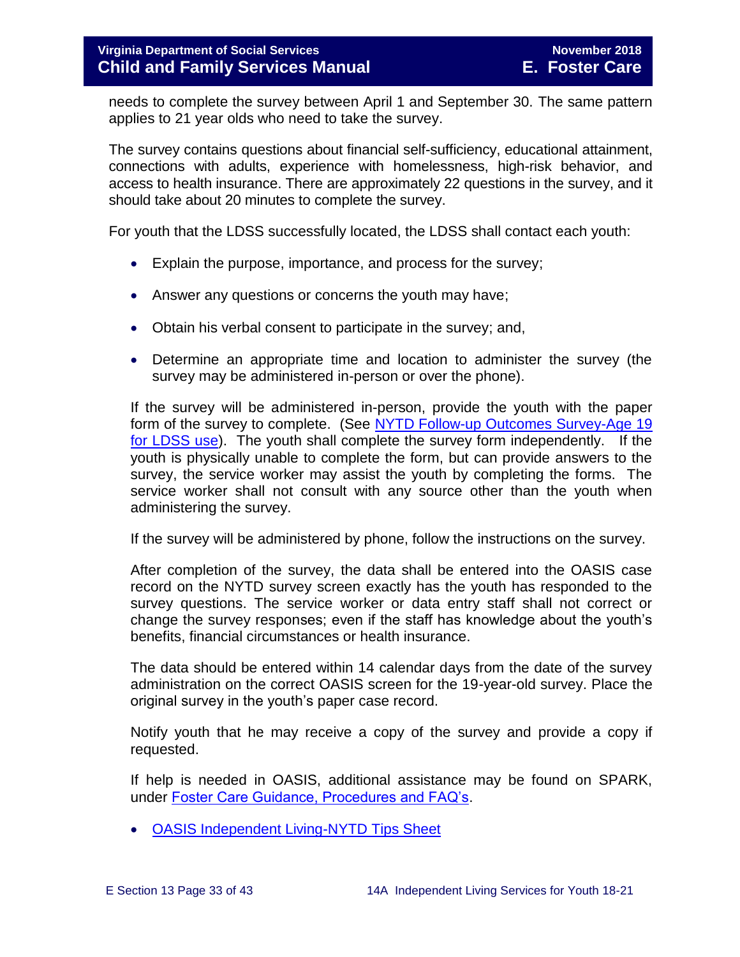needs to complete the survey between April 1 and September 30. The same pattern applies to 21 year olds who need to take the survey.

The survey contains questions about financial self-sufficiency, educational attainment, connections with adults, experience with homelessness, high-risk behavior, and access to health insurance. There are approximately 22 questions in the survey, and it should take about 20 minutes to complete the survey.

For youth that the LDSS successfully located, the LDSS shall contact each youth:

- Explain the purpose, importance, and process for the survey;
- Answer any questions or concerns the youth may have;
- Obtain his verbal consent to participate in the survey; and,
- Determine an appropriate time and location to administer the survey (the survey may be administered in-person or over the phone).

If the survey will be administered in-person, provide the youth with the paper form of the survey to complete. (See [NYTD Follow-up Outcomes Survey-Age 19](http://spark.dss.virginia.gov/divisions/dfs/fc/files/ilp/nytd/surveys/Survey_-_Outcomes_-_age_19.pdf)  [for LDSS use\)](http://spark.dss.virginia.gov/divisions/dfs/fc/files/ilp/nytd/surveys/Survey_-_Outcomes_-_age_19.pdf). The youth shall complete the survey form independently. If the youth is physically unable to complete the form, but can provide answers to the survey, the service worker may assist the youth by completing the forms. The service worker shall not consult with any source other than the youth when administering the survey.

If the survey will be administered by phone, follow the instructions on the survey.

After completion of the survey, the data shall be entered into the OASIS case record on the NYTD survey screen exactly has the youth has responded to the survey questions. The service worker or data entry staff shall not correct or change the survey responses; even if the staff has knowledge about the youth's benefits, financial circumstances or health insurance.

The data should be entered within 14 calendar days from the date of the survey administration on the correct OASIS screen for the 19-year-old survey. Place the original survey in the youth's paper case record.

Notify youth that he may receive a copy of the survey and provide a copy if requested.

If help is needed in OASIS, additional assistance may be found on SPARK, under [Foster Care Guidance, Procedures and FAQ's.](http://spark.dss.virginia.gov/divisions/dfs/fc/guidance.cgi)

[OASIS Independent Living-NYTD Tips Sheet](http://spark.dss.virginia.gov/divisions/dfs/fc/files/ilp/nytd/guidance_procedures/tips.pdf)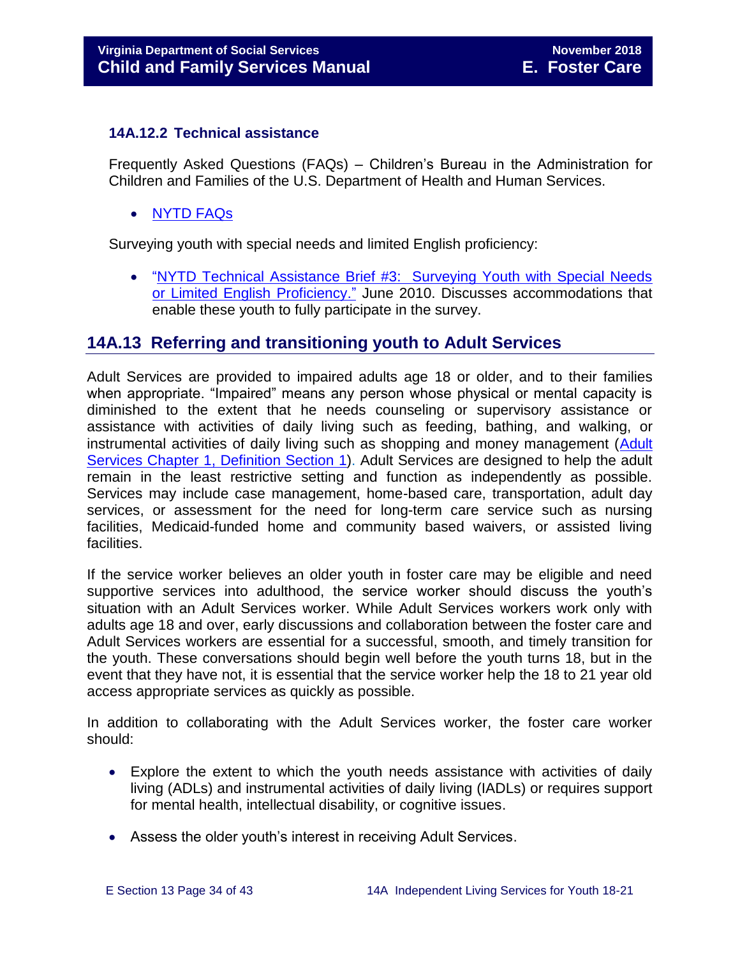#### <span id="page-33-0"></span>**14A.12.2 Technical assistance**

Frequently Asked Questions (FAQs) – Children's Bureau in the Administration for Children and Families of the U.S. Department of Health and Human Services.

[NYTD](https://www.childwelfare.gov/cb/research-data-technology/reporting-systems/nytd/faq/) FAQs

Surveying youth with special needs and limited English proficiency:

 ["NYTD Technical Assistance Brief #3: Surveying Youth with Special Needs](http://www.acf.hhs.gov/programs/cb/resource/nytd-data-brief-3)  [or Limited English Proficiency."](http://www.acf.hhs.gov/programs/cb/resource/nytd-data-brief-3) June 2010. Discusses accommodations that enable these youth to fully participate in the survey.

# <span id="page-33-1"></span>**14A.13 Referring and transitioning youth to Adult Services**

Adult Services are provided to impaired adults age 18 or older, and to their families when appropriate. "Impaired" means any person whose physical or mental capacity is diminished to the extent that he needs counseling or supervisory assistance or assistance with activities of daily living such as feeding, bathing, and walking, or instrumental activities of daily living such as shopping and money management [\(Adult](http://www.dss.virginia.gov/files/division/dfs/as/as_intro_page/manuals/as/chapter_1_introduction_2016.pdf)  [Services Chapter 1, Definition Section](http://www.dss.virginia.gov/files/division/dfs/as/as_intro_page/manuals/as/chapter_1_introduction_2016.pdf) 1). Adult Services are designed to help the adult remain in the least restrictive setting and function as independently as possible. Services may include case management, home-based care, transportation, adult day services, or assessment for the need for long-term care service such as nursing facilities, Medicaid-funded home and community based waivers, or assisted living facilities.

If the service worker believes an older youth in foster care may be eligible and need supportive services into adulthood, the service worker should discuss the youth's situation with an Adult Services worker. While Adult Services workers work only with adults age 18 and over, early discussions and collaboration between the foster care and Adult Services workers are essential for a successful, smooth, and timely transition for the youth. These conversations should begin well before the youth turns 18, but in the event that they have not, it is essential that the service worker help the 18 to 21 year old access appropriate services as quickly as possible.

In addition to collaborating with the Adult Services worker, the foster care worker should:

- Explore the extent to which the youth needs assistance with activities of daily living (ADLs) and instrumental activities of daily living (IADLs) or requires support for mental health, intellectual disability, or cognitive issues.
- Assess the older youth's interest in receiving Adult Services.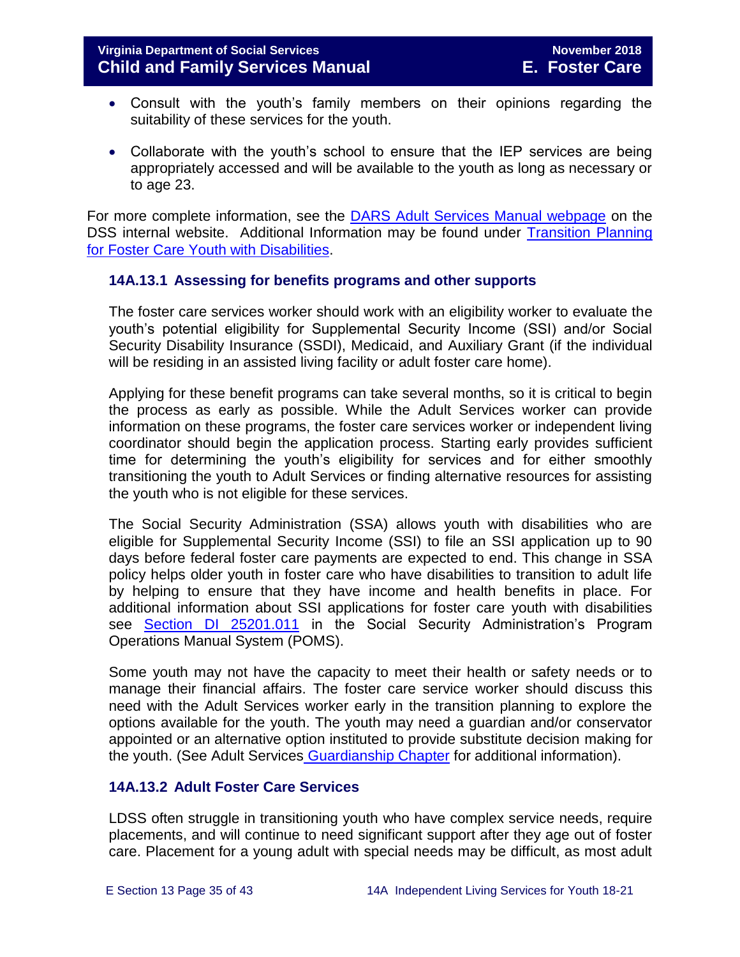- Consult with the youth's family members on their opinions regarding the suitability of these services for the youth.
- Collaborate with the youth's school to ensure that the IEP services are being appropriately accessed and will be available to the youth as long as necessary or to age 23.

For more complete information, see the [DARS Adult Services Manual webpage](http://spark.dss.virginia.gov/divisions/dfs/as/manual.cgi) on the DSS internal website. Additional Information may be found under [Transition Planning](http://spark.dss.virginia.gov/divisions/dfs/fc/files/guidance_procedures_faq/guidance_procedures/tranistion_plan_disabilities.pdf)  [for Foster Care Youth with Disabilities.](http://spark.dss.virginia.gov/divisions/dfs/fc/files/guidance_procedures_faq/guidance_procedures/tranistion_plan_disabilities.pdf)

#### <span id="page-34-0"></span>**14A.13.1 Assessing for benefits programs and other supports**

The foster care services worker should work with an eligibility worker to evaluate the youth's potential eligibility for Supplemental Security Income (SSI) and/or Social Security Disability Insurance (SSDI), Medicaid, and Auxiliary Grant (if the individual will be residing in an assisted living facility or adult foster care home).

Applying for these benefit programs can take several months, so it is critical to begin the process as early as possible. While the Adult Services worker can provide information on these programs, the foster care services worker or independent living coordinator should begin the application process. Starting early provides sufficient time for determining the youth's eligibility for services and for either smoothly transitioning the youth to Adult Services or finding alternative resources for assisting the youth who is not eligible for these services.

The Social Security Administration (SSA) allows youth with disabilities who are eligible for Supplemental Security Income (SSI) to file an SSI application up to 90 days before federal foster care payments are expected to end. This change in SSA policy helps older youth in foster care who have disabilities to transition to adult life by helping to ensure that they have income and health benefits in place. For additional information about SSI applications for foster care youth with disabilities see [Section DI 25201.011](https://secure.ssa.gov/apps10/poms.nsf/subchapterlist!openview&restricttocategory=04252) in the Social Security Administration's Program Operations Manual System (POMS).

Some youth may not have the capacity to meet their health or safety needs or to manage their financial affairs. The foster care service worker should discuss this need with the Adult Services worker early in the transition planning to explore the options available for the youth. The youth may need a guardian and/or conservator appointed or an alternative option instituted to provide substitute decision making for the youth. (See Adult Services [Guardianship Chapter](http://spark.dss.virginia.gov/divisions/dfs/as/files/manuals/adult_services/chapter_7_guardianship_2016_July.pdf) for additional information).

#### <span id="page-34-1"></span>**14A.13.2 Adult Foster Care Services**

LDSS often struggle in transitioning youth who have complex service needs, require placements, and will continue to need significant support after they age out of foster care. Placement for a young adult with special needs may be difficult, as most adult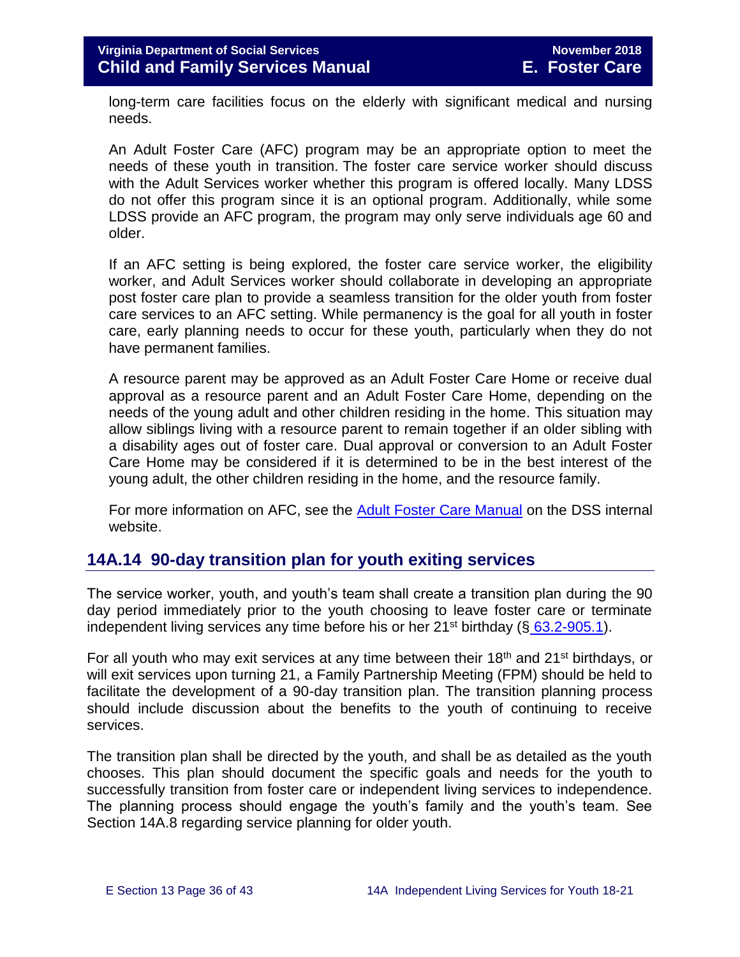long-term care facilities focus on the elderly with significant medical and nursing needs.

An Adult Foster Care (AFC) program may be an appropriate option to meet the needs of these youth in transition. The foster care service worker should discuss with the Adult Services worker whether this program is offered locally. Many LDSS do not offer this program since it is an optional program. Additionally, while some LDSS provide an AFC program, the program may only serve individuals age 60 and older.

If an AFC setting is being explored, the foster care service worker, the eligibility worker, and Adult Services worker should collaborate in developing an appropriate post foster care plan to provide a seamless transition for the older youth from foster care services to an AFC setting. While permanency is the goal for all youth in foster care, early planning needs to occur for these youth, particularly when they do not have permanent families.

A resource parent may be approved as an Adult Foster Care Home or receive dual approval as a resource parent and an Adult Foster Care Home, depending on the needs of the young adult and other children residing in the home. This situation may allow siblings living with a resource parent to remain together if an older sibling with a disability ages out of foster care. Dual approval or conversion to an Adult Foster Care Home may be considered if it is determined to be in the best interest of the young adult, the other children residing in the home, and the resource family.

For more information on AFC, see the [Adult Foster Care Manual](http://spark.dss.virginia.gov/divisions/dfs/as/manual.cgi) on the DSS internal website.

# <span id="page-35-0"></span>**14A.14 90-day transition plan for youth exiting services**

The service worker, youth, and youth's team shall create a transition plan during the 90 day period immediately prior to the youth choosing to leave foster care or terminate independent living services any time before his or her  $21^{st}$  birthday (§ [63.2-905.1\)](http://law.lis.virginia.gov/vacode/title63.2/chapter9/section63.2-905.1/).

For all youth who may exit services at any time between their 18<sup>th</sup> and 21<sup>st</sup> birthdays, or will exit services upon turning 21, a Family Partnership Meeting (FPM) should be held to facilitate the development of a 90-day transition plan. The transition planning process should include discussion about the benefits to the youth of continuing to receive services.

The transition plan shall be directed by the youth, and shall be as detailed as the youth chooses. This plan should document the specific goals and needs for the youth to successfully transition from foster care or independent living services to independence. The planning process should engage the youth's family and the youth's team. See Section 14A.8 regarding service planning for older youth.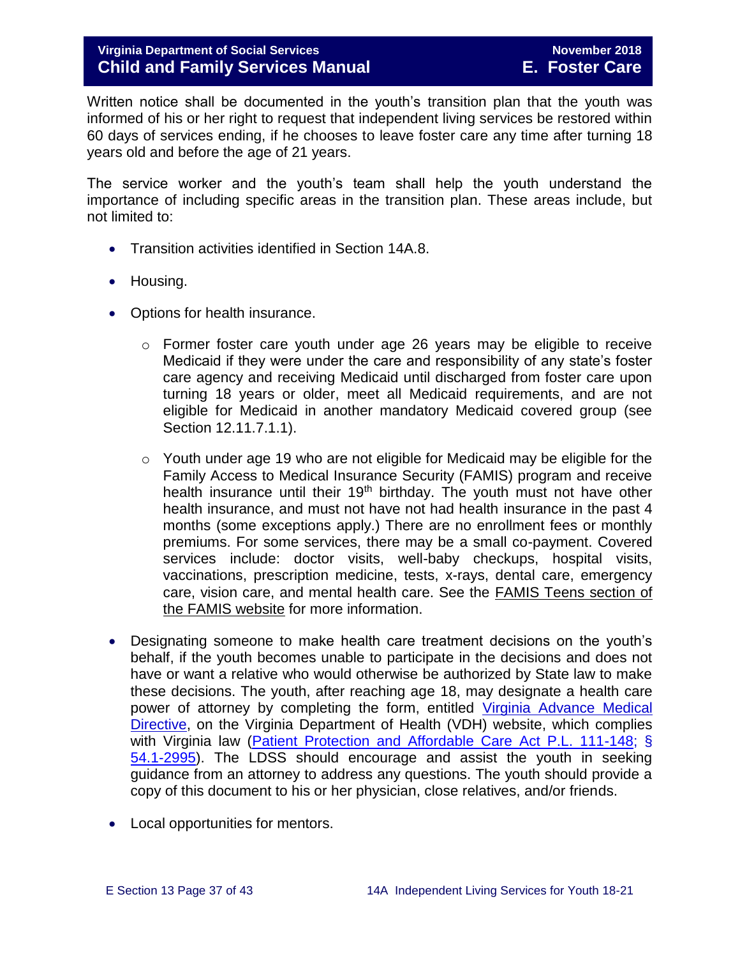Written notice shall be documented in the youth's transition plan that the youth was informed of his or her right to request that independent living services be restored within 60 days of services ending, if he chooses to leave foster care any time after turning 18 years old and before the age of 21 years.

The service worker and the youth's team shall help the youth understand the importance of including specific areas in the transition plan. These areas include, but not limited to:

- Transition activities identified in Section 14A.8.
- Housing.
- Options for health insurance.
	- $\circ$  Former foster care youth under age 26 years may be eligible to receive Medicaid if they were under the care and responsibility of any state's foster care agency and receiving Medicaid until discharged from foster care upon turning 18 years or older, meet all Medicaid requirements, and are not eligible for Medicaid in another mandatory Medicaid covered group (see Section 12.11.7.1.1).
	- o Youth under age 19 who are not eligible for Medicaid may be eligible for the Family Access to Medical Insurance Security (FAMIS) program and receive health insurance until their 19<sup>th</sup> birthday. The youth must not have other health insurance, and must not have not had health insurance in the past 4 months (some exceptions apply.) There are no enrollment fees or monthly premiums. For some services, there may be a small co-payment. Covered services include: doctor visits, well-baby checkups, hospital visits, vaccinations, prescription medicine, tests, x-rays, dental care, emergency care, vision care, and mental health care. See the [FAMIS Teens section of](http://www.famis.org/teen.cfm?language=English)  [the FAMIS website](http://www.famis.org/teen.cfm?language=English) for more information.
- Designating someone to make health care treatment decisions on the youth's behalf, if the youth becomes unable to participate in the decisions and does not have or want a relative who would otherwise be authorized by State law to make these decisions. The youth, after reaching age 18, may designate a health care power of attorney by completing the form, entitled [Virginia Advance Medical](http://www.vdh.virginia.gov/OLC/documents/2008/pdfs/2005%20advanced%20directive%20form.pdf)  [Directive,](http://www.vdh.virginia.gov/OLC/documents/2008/pdfs/2005%20advanced%20directive%20form.pdf) on the Virginia Department of Health (VDH) website, which complies with Virginia law [\(Patient Protection and Affordable Care Act P.L. 111-148;](http://www.gpo.gov/fdsys/pkg/PLAW-111publ148/pdf/PLAW-111publ148.pdf) § [54.1-2995\)](http://www.gpo.gov/fdsys/pkg/PLAW-111publ148/pdf/PLAW-111publ148.pdf). The LDSS should encourage and assist the youth in seeking guidance from an attorney to address any questions. The youth should provide a copy of this document to his or her physician, close relatives, and/or friends.
- Local opportunities for mentors.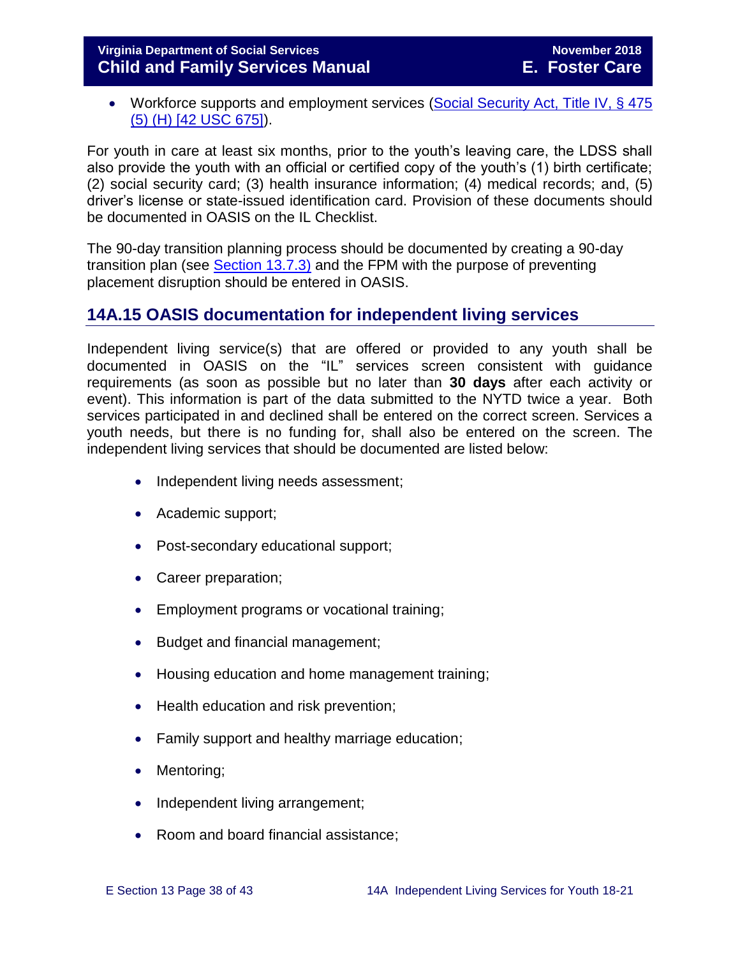• Workforce supports and employment services (Social Security Act, Title IV, § 475 [\(5\) \(H\) \[42 USC 675\]\)](http://www.ssa.gov/OP_Home/ssact/title04/0475.htm).

For youth in care at least six months, prior to the youth's leaving care, the LDSS shall also provide the youth with an official or certified copy of the youth's (1) birth certificate; (2) social security card; (3) health insurance information; (4) medical records; and, (5) driver's license or state-issued identification card. Provision of these documents should be documented in OASIS on the IL Checklist.

The 90-day transition planning process should be documented by creating a 90-day transition plan (see [Section 13.7.3\)](http://www.dss.virginia.gov/files/division/dfs/fc/intro_page/guidance_manuals/fc/07_2015/Section_13_Achieving_Permanency_for_Older_Youth.pdf) and the FPM with the purpose of preventing placement disruption should be entered in OASIS.

# <span id="page-37-0"></span>**14A.15 OASIS documentation for independent living services**

Independent living service(s) that are offered or provided to any youth shall be documented in OASIS on the "IL" services screen consistent with guidance requirements (as soon as possible but no later than **30 days** after each activity or event). This information is part of the data submitted to the NYTD twice a year. Both services participated in and declined shall be entered on the correct screen. Services a youth needs, but there is no funding for, shall also be entered on the screen. The independent living services that should be documented are listed below:

- Independent living needs assessment;
- Academic support;
- Post-secondary educational support;
- Career preparation;
- **Employment programs or vocational training:**
- Budget and financial management;
- Housing education and home management training;
- Health education and risk prevention;
- Family support and healthy marriage education;
- Mentoring;
- Independent living arrangement;
- Room and board financial assistance;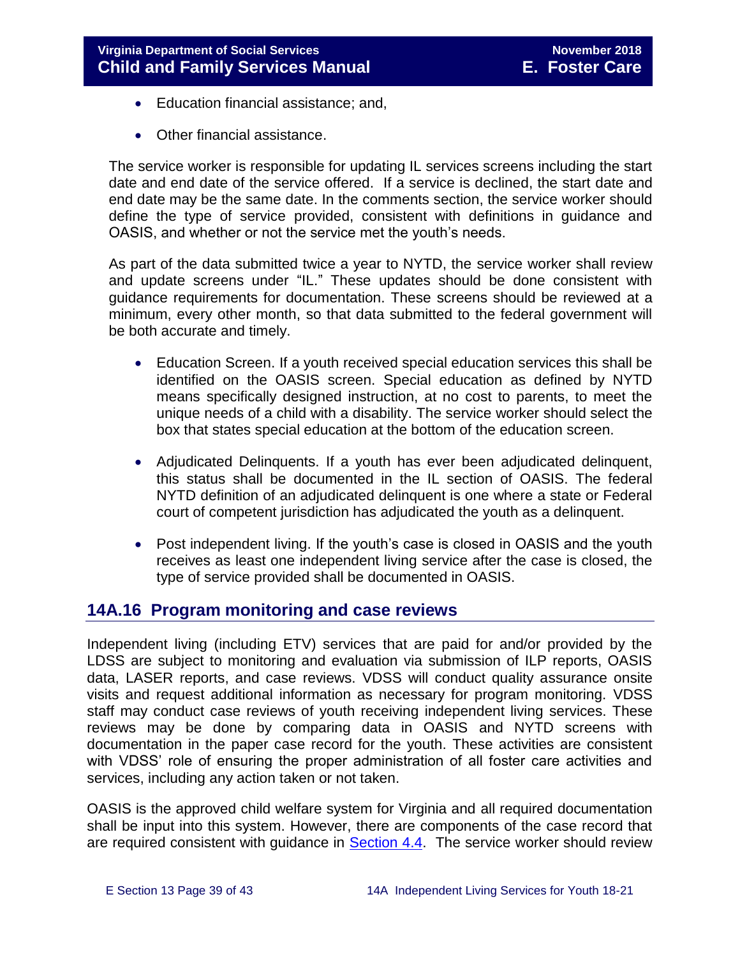- Education financial assistance; and,
- Other financial assistance.

The service worker is responsible for updating IL services screens including the start date and end date of the service offered. If a service is declined, the start date and end date may be the same date. In the comments section, the service worker should define the type of service provided, consistent with definitions in guidance and OASIS, and whether or not the service met the youth's needs.

As part of the data submitted twice a year to NYTD, the service worker shall review and update screens under "IL." These updates should be done consistent with guidance requirements for documentation. These screens should be reviewed at a minimum, every other month, so that data submitted to the federal government will be both accurate and timely.

- Education Screen. If a youth received special education services this shall be identified on the OASIS screen. Special education as defined by NYTD means specifically designed instruction, at no cost to parents, to meet the unique needs of a child with a disability. The service worker should select the box that states special education at the bottom of the education screen.
- Adjudicated Delinquents. If a youth has ever been adjudicated delinquent, this status shall be documented in the IL section of OASIS. The federal NYTD definition of an adjudicated delinquent is one where a state or Federal court of competent jurisdiction has adjudicated the youth as a delinquent.
- Post independent living. If the youth's case is closed in OASIS and the youth receives as least one independent living service after the case is closed, the type of service provided shall be documented in OASIS.

# <span id="page-38-0"></span>**14A.16 Program monitoring and case reviews**

Independent living (including ETV) services that are paid for and/or provided by the LDSS are subject to monitoring and evaluation via submission of ILP reports, OASIS data, LASER reports, and case reviews. VDSS will conduct quality assurance onsite visits and request additional information as necessary for program monitoring. VDSS staff may conduct case reviews of youth receiving independent living services. These reviews may be done by comparing data in OASIS and NYTD screens with documentation in the paper case record for the youth. These activities are consistent with VDSS' role of ensuring the proper administration of all foster care activities and services, including any action taken or not taken.

OASIS is the approved child welfare system for Virginia and all required documentation shall be input into this system. However, there are components of the case record that are required consistent with guidance in **Section 4.4.** The service worker should review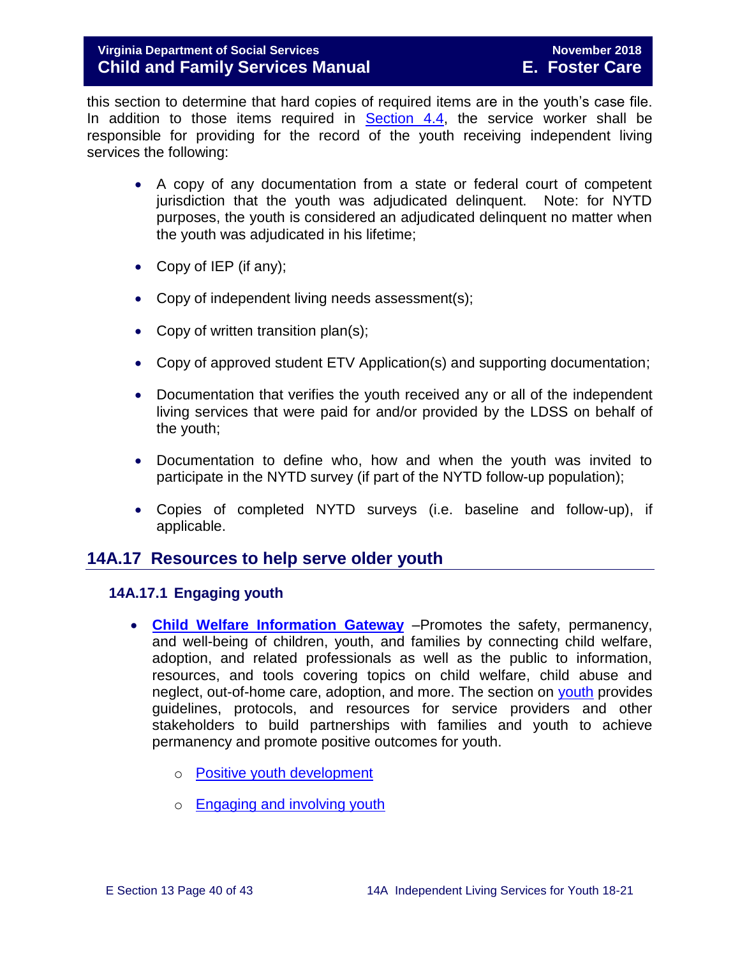this section to determine that hard copies of required items are in the youth's case file. In addition to those items required in [Section 4.4,](http://www.dss.virginia.gov/files/division/dfs/fc/intro_page/guidance_manuals/fc/07_2015/Section_04_Opening_and_Maintaining_Case.pdf) the service worker shall be responsible for providing for the record of the youth receiving independent living services the following:

- A copy of any documentation from a state or federal court of competent jurisdiction that the youth was adjudicated delinquent. Note: for NYTD purposes, the youth is considered an adjudicated delinquent no matter when the youth was adjudicated in his lifetime;
- Copy of IEP (if any);
- Copy of independent living needs assessment(s);
- Copy of written transition plan(s);
- Copy of approved student ETV Application(s) and supporting documentation;
- Documentation that verifies the youth received any or all of the independent living services that were paid for and/or provided by the LDSS on behalf of the youth;
- Documentation to define who, how and when the youth was invited to participate in the NYTD survey (if part of the NYTD follow-up population);
- Copies of completed NYTD surveys (i.e. baseline and follow-up), if applicable.

#### <span id="page-39-0"></span>**14A.17 Resources to help serve older youth**

#### <span id="page-39-1"></span>**14A.17.1 Engaging youth**

- **[Child Welfare Information Gateway](https://www.childwelfare.gov/)** –Promotes the safety, permanency, and well-being of children, youth, and families by connecting child welfare, adoption, and related professionals as well as the public to information, resources, and tools covering topics on child welfare, child abuse and neglect, out-of-home care, adoption, and more. The section on [youth](https://www.childwelfare.gov/topics/systemwide/youth/) provides guidelines, protocols, and resources for service providers and other stakeholders to build partnerships with families and youth to achieve permanency and promote positive outcomes for youth.
	- o [Positive youth development](https://www.childwelfare.gov/topics/systemwide/youth/development/)
	- o [Engaging and involving youth](https://www.childwelfare.gov/topics/systemwide/youth/engagingyouth/)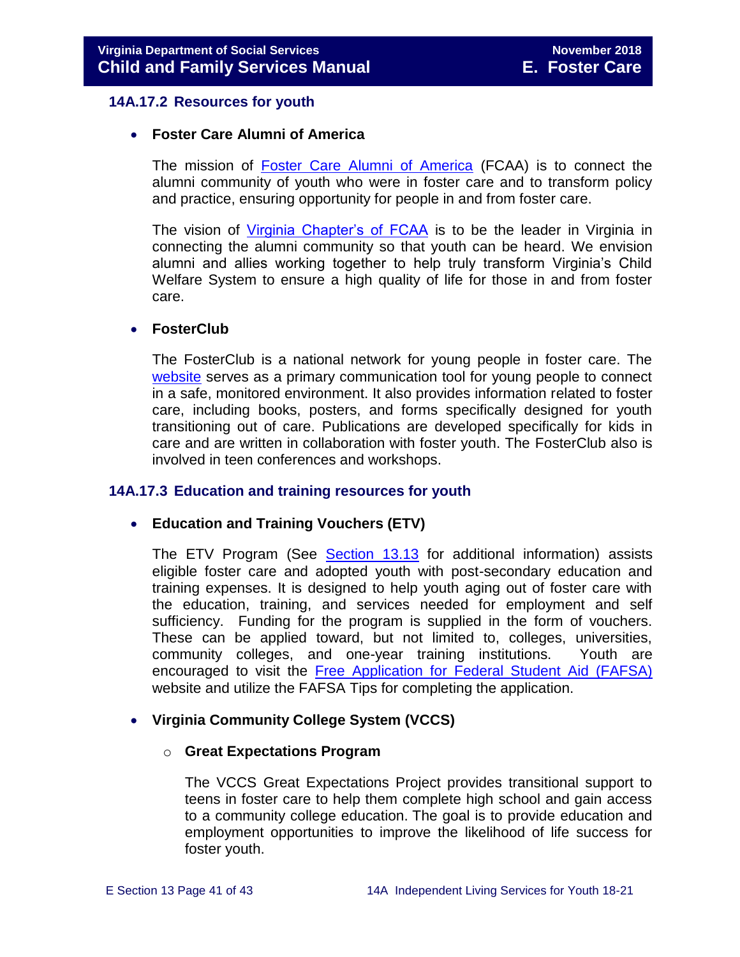#### <span id="page-40-0"></span>**14A.17.2 Resources for youth**

#### **Foster Care Alumni of America**

The mission of **[Foster Care Alumni of America](http://www.fostercarealumni.org/)** (FCAA) is to connect the alumni community of youth who were in foster care and to transform policy and practice, ensuring opportunity for people in and from foster care.

The vision of [Virginia Chapter's of FCAA](http://www.fostercarealumni.org/virginia-chapter/) is to be the leader in Virginia in connecting the alumni community so that youth can be heard. We envision alumni and allies working together to help truly transform Virginia's Child Welfare System to ensure a high quality of life for those in and from foster care.

#### **FosterClub**

The FosterClub is a national network for young people in foster care. The [website](http://www.fosterclub.com/) serves as a primary communication tool for young people to connect in a safe, monitored environment. It also provides information related to foster care, including books, posters, and forms specifically designed for youth transitioning out of care. Publications are developed specifically for kids in care and are written in collaboration with foster youth. The FosterClub also is involved in teen conferences and workshops.

#### <span id="page-40-1"></span>**14A.17.3 Education and training resources for youth**

#### **Education and Training Vouchers (ETV)**

The ETV Program (See [Section 13.13](http://www.dss.virginia.gov/files/division/dfs/fc/intro_page/guidance_manuals/fc/07_2015/Section_13_Achieving_Permanency_for_Older_Youth.pdf) for additional information) assists eligible foster care and adopted youth with post-secondary education and training expenses. It is designed to help youth aging out of foster care with the education, training, and services needed for employment and self sufficiency. Funding for the program is supplied in the form of vouchers. These can be applied toward, but not limited to, colleges, universities, community colleges, and one-year training institutions. Youth are encouraged to visit the [Free Application for Federal Student Aid \(FAFSA\)](http://www.fafsa.ed.gov/) website and utilize the FAFSA Tips for completing the application.

#### **Virginia Community College System (VCCS)**

#### o **Great Expectations Program**

The VCCS Great Expectations Project provides transitional support to teens in foster care to help them complete high school and gain access to a community college education. The goal is to provide education and employment opportunities to improve the likelihood of life success for foster youth.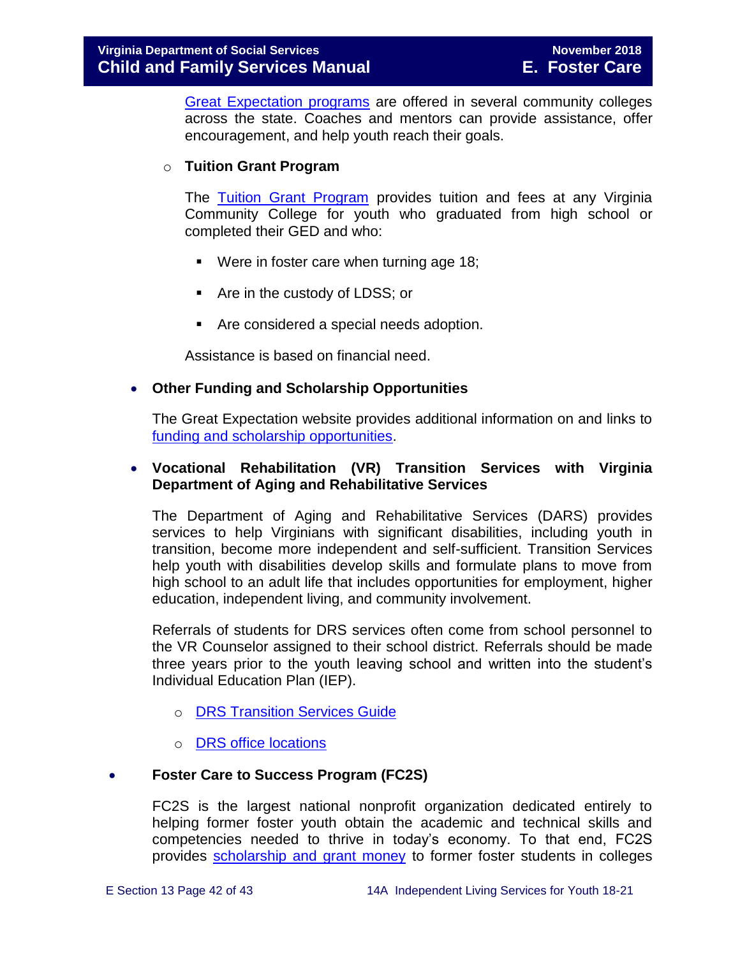[Great Expectation programs](http://greatexpectations.vccs.edu/locations/) are offered in several community colleges across the state. Coaches and mentors can provide assistance, offer encouragement, and help youth reach their goals.

#### o **Tuition Grant Program**

The [Tuition Grant Program](http://cdn.vccs.edu/wp-content/uploads/2013/07/vatutiongrantflyer.pdf) provides tuition and fees at any Virginia Community College for youth who graduated from high school or completed their GED and who:

- **Were in foster care when turning age 18;**
- Are in the custody of LDSS; or
- Are considered a special needs adoption.

Assistance is based on financial need.

#### **Other Funding and Scholarship Opportunities**

The Great Expectation website provides additional information on and links to [funding and scholarship opportunities.](http://greatexpectations.vccs.edu/school/financial-aid/scholarships/)

#### **Vocational Rehabilitation (VR) Transition Services with Virginia Department of Aging and Rehabilitative Services**

The Department of Aging and Rehabilitative Services (DARS) provides services to help Virginians with significant disabilities, including youth in transition, become more independent and self-sufficient. Transition Services help youth with disabilities develop skills and formulate plans to move from high school to an adult life that includes opportunities for employment, higher education, independent living, and community involvement.

Referrals of students for DRS services often come from school personnel to the VR Counselor assigned to their school district. Referrals should be made three years prior to the youth leaving school and written into the student's Individual Education Plan (IEP).

- o [DRS Transition Services Guide](http://www.vadrs.org/transitionservices.htm)
- o [DRS office locations](http://www.vadrs.org/offices.aspx)

#### **Foster Care to Success Program (FC2S)**

FC2S is the largest national nonprofit organization dedicated entirely to helping former foster youth obtain the academic and technical skills and competencies needed to thrive in today's economy. To that end, FC2S provides [scholarship and grant money](http://www.fc2success.org/) to former foster students in colleges